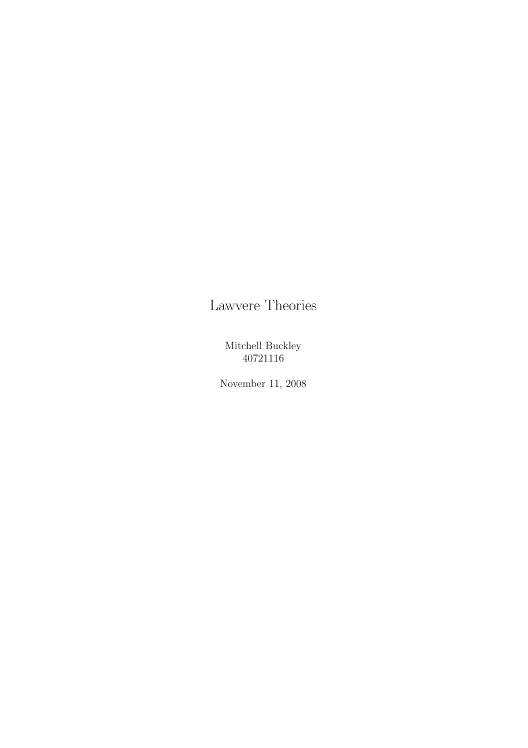# Lawvere Theories

Mitchell Buckley 40721116

November 11, 2008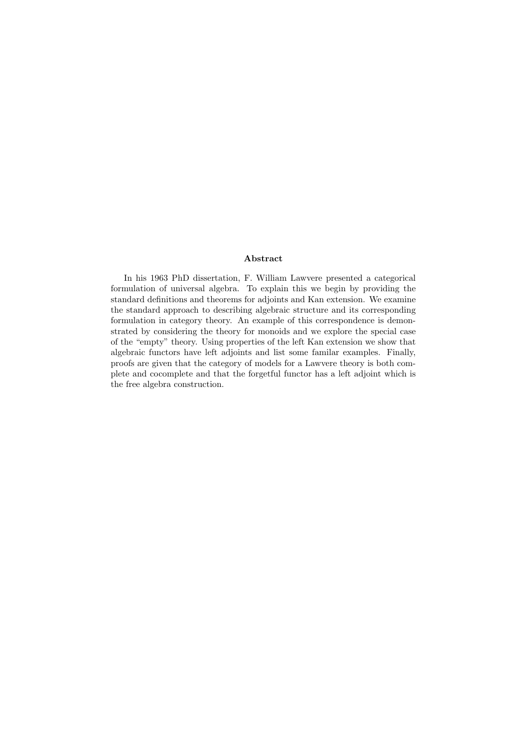#### Abstract

In his 1963 PhD dissertation, F. William Lawvere presented a categorical formulation of universal algebra. To explain this we begin by providing the standard definitions and theorems for adjoints and Kan extension. We examine the standard approach to describing algebraic structure and its corresponding formulation in category theory. An example of this correspondence is demonstrated by considering the theory for monoids and we explore the special case of the "empty" theory. Using properties of the left Kan extension we show that algebraic functors have left adjoints and list some familar examples. Finally, proofs are given that the category of models for a Lawvere theory is both complete and cocomplete and that the forgetful functor has a left adjoint which is the free algebra construction.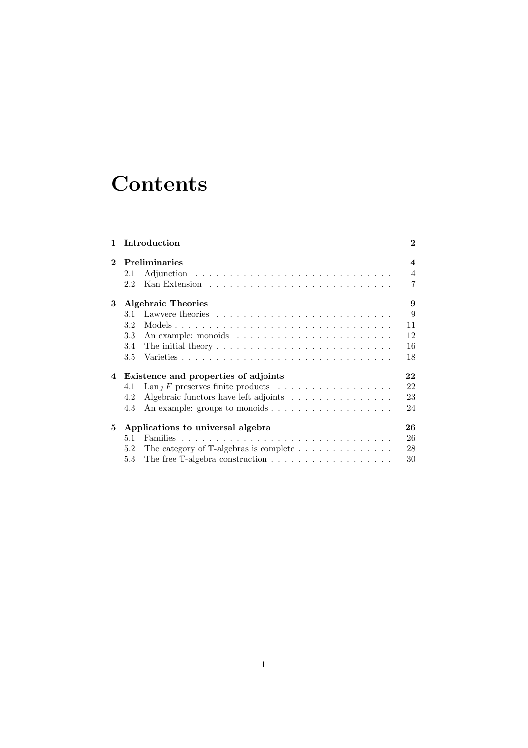# **Contents**

|                |                                                 | 1 Introduction                                                                            | $\mathbf{2}$   |  |  |  |
|----------------|-------------------------------------------------|-------------------------------------------------------------------------------------------|----------------|--|--|--|
| $\overline{2}$ | <b>Preliminaries</b><br>$\overline{\mathbf{4}}$ |                                                                                           |                |  |  |  |
|                | 2.1                                             |                                                                                           | $\overline{4}$ |  |  |  |
|                | 2.2                                             |                                                                                           | $\overline{7}$ |  |  |  |
| 3              | <b>Algebraic Theories</b><br>9                  |                                                                                           |                |  |  |  |
|                | 3.1                                             |                                                                                           | 9              |  |  |  |
|                | 3.2                                             |                                                                                           | 11             |  |  |  |
|                | 3.3                                             |                                                                                           | 12             |  |  |  |
|                | 3.4                                             | The initial theory $\dots \dots \dots \dots \dots \dots \dots \dots \dots \dots \dots$    | 16             |  |  |  |
|                | 3.5                                             |                                                                                           | 18             |  |  |  |
| 4              | Existence and properties of adjoints<br>22      |                                                                                           |                |  |  |  |
|                | 4.1                                             | $\text{Lan}_J F$ preserves finite products $\ldots \ldots \ldots \ldots \ldots \ldots$    | 22             |  |  |  |
|                | 4.2                                             |                                                                                           | 23             |  |  |  |
|                | 4.3                                             | An example: groups to monoids $\dots \dots \dots \dots \dots \dots \dots$                 | 24             |  |  |  |
| 5              | Applications to universal algebra<br>26         |                                                                                           |                |  |  |  |
|                | 5.1                                             |                                                                                           | 26             |  |  |  |
|                | 5.2                                             |                                                                                           | 28             |  |  |  |
|                | 5.3                                             | The free $\mathbb{T}\text{-algebra construction}\dots\dots\dots\dots\dots\dots\dots\dots$ | 30             |  |  |  |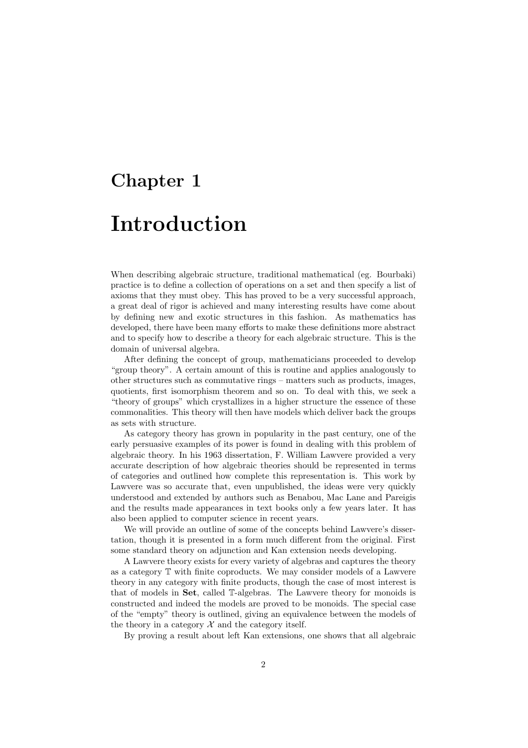# Chapter 1

# Introduction

When describing algebraic structure, traditional mathematical (eg. Bourbaki) practice is to define a collection of operations on a set and then specify a list of axioms that they must obey. This has proved to be a very successful approach, a great deal of rigor is achieved and many interesting results have come about by defining new and exotic structures in this fashion. As mathematics has developed, there have been many efforts to make these definitions more abstract and to specify how to describe a theory for each algebraic structure. This is the domain of universal algebra.

After defining the concept of group, mathematicians proceeded to develop "group theory". A certain amount of this is routine and applies analogously to other structures such as commutative rings – matters such as products, images, quotients, first isomorphism theorem and so on. To deal with this, we seek a "theory of groups" which crystallizes in a higher structure the essence of these commonalities. This theory will then have models which deliver back the groups as sets with structure.

As category theory has grown in popularity in the past century, one of the early persuasive examples of its power is found in dealing with this problem of algebraic theory. In his 1963 dissertation, F. William Lawvere provided a very accurate description of how algebraic theories should be represented in terms of categories and outlined how complete this representation is. This work by Lawvere was so accurate that, even unpublished, the ideas were very quickly understood and extended by authors such as Benabou, Mac Lane and Pareigis and the results made appearances in text books only a few years later. It has also been applied to computer science in recent years.

We will provide an outline of some of the concepts behind Lawvere's dissertation, though it is presented in a form much different from the original. First some standard theory on adjunction and Kan extension needs developing.

A Lawvere theory exists for every variety of algebras and captures the theory as a category T with finite coproducts. We may consider models of a Lawvere theory in any category with finite products, though the case of most interest is that of models in Set, called T-algebras. The Lawvere theory for monoids is constructed and indeed the models are proved to be monoids. The special case of the "empty" theory is outlined, giving an equivalence between the models of the theory in a category  $\mathcal X$  and the category itself.

By proving a result about left Kan extensions, one shows that all algebraic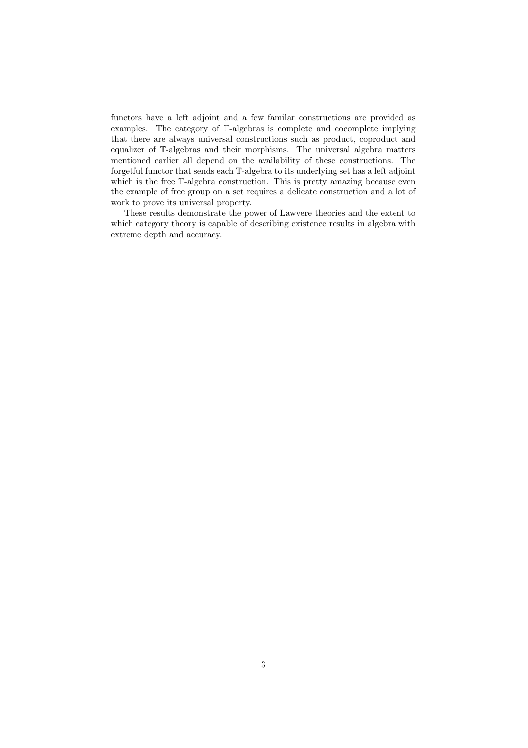functors have a left adjoint and a few familar constructions are provided as examples. The category of T-algebras is complete and cocomplete implying that there are always universal constructions such as product, coproduct and equalizer of T-algebras and their morphisms. The universal algebra matters mentioned earlier all depend on the availability of these constructions. The forgetful functor that sends each T-algebra to its underlying set has a left adjoint which is the free T-algebra construction. This is pretty amazing because even the example of free group on a set requires a delicate construction and a lot of work to prove its universal property.

These results demonstrate the power of Lawvere theories and the extent to which category theory is capable of describing existence results in algebra with extreme depth and accuracy.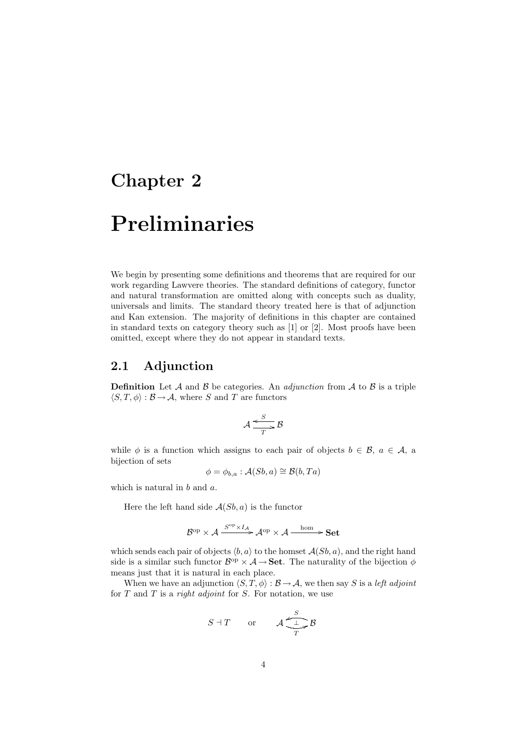# Chapter 2

# Preliminaries

We begin by presenting some definitions and theorems that are required for our work regarding Lawvere theories. The standard definitions of category, functor and natural transformation are omitted along with concepts such as duality, universals and limits. The standard theory treated here is that of adjunction and Kan extension. The majority of definitions in this chapter are contained in standard texts on category theory such as [1] or [2]. Most proofs have been omitted, except where they do not appear in standard texts.

### 2.1 Adjunction

**Definition** Let A and B be categories. An *adjunction* from A to B is a triple  $\langle S, T, \phi \rangle : \mathcal{B} \to \mathcal{A}$ , where S and T are functors

$$
\mathcal{A} \xrightarrow{\mathcal{S}} \mathcal{B}
$$

while  $\phi$  is a function which assigns to each pair of objects  $b \in \mathcal{B}$ ,  $a \in \mathcal{A}$ , a bijection of sets

$$
\phi = \phi_{b,a} : \mathcal{A}(Sb, a) \cong \mathcal{B}(b, Ta)
$$

which is natural in b and a.

Here the left hand side  $A(Sb, a)$  is the functor

$$
\mathcal{B}^{\mathrm{op}} \times \mathcal{A} \xrightarrow{S^{\mathrm{op}} \times I_{\mathcal{A}}} \mathcal{A}^{\mathrm{op}} \times \mathcal{A} \xrightarrow{\mathrm{hom}} \mathbf{Set}
$$

which sends each pair of objects  $\langle b, a \rangle$  to the homset  $\mathcal{A}(Sb, a)$ , and the right hand side is a similar such functor  $\mathcal{B}^{\text{op}} \times \mathcal{A} \to \mathbf{Set}$ . The naturality of the bijection  $\phi$ means just that it is natural in each place.

When we have an adjunction  $\langle S, T, \phi \rangle : \mathcal{B} \to \mathcal{A}$ , we then say S is a left adjoint for  $T$  and  $T$  is a *right adjoint* for  $S$ . For notation, we use

$$
S \dashv T \qquad \text{or} \qquad \mathcal{A} \xrightarrow[T]{S} \mathcal{B}
$$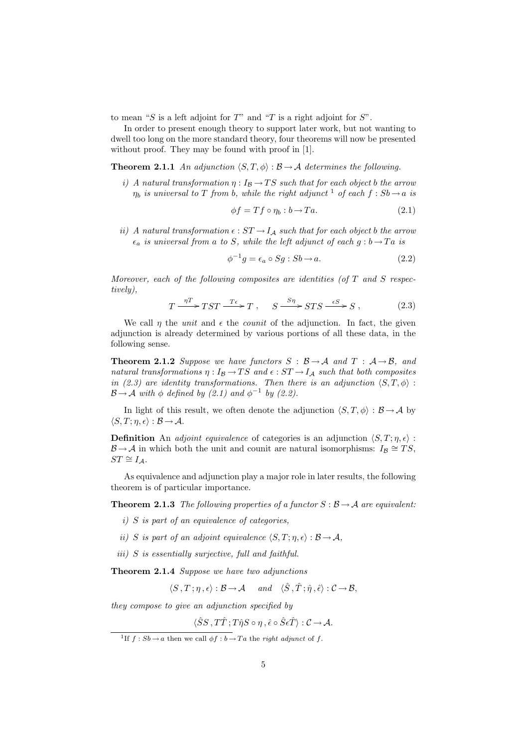to mean "S is a left adjoint for  $T$ " and "T is a right adjoint for  $S$ ".

In order to present enough theory to support later work, but not wanting to dwell too long on the more standard theory, four theorems will now be presented without proof. They may be found with proof in [1].

**Theorem 2.1.1** An adjunction  $\langle S, T, \phi \rangle : \mathcal{B} \to \mathcal{A}$  determines the following.

i) A natural transformation  $\eta: I_{\mathcal{B}} \to TS$  such that for each object b the arrow  $\eta_b$  is universal to T from b, while the right adjunct <sup>1</sup> of each  $f : Sb \rightarrow a$  is

$$
\phi f = Tf \circ \eta_b : b \to Ta. \tag{2.1}
$$

ii) A natural transformation  $\epsilon : ST \to I_A$  such that for each object b the arrow  $\epsilon_a$  is universal from a to S, while the left adjunct of each  $g : b \to Ta$  is

$$
\phi^{-1}g = \epsilon_a \circ Sg : Sb \to a. \tag{2.2}
$$

Moreover, each of the following composites are identities (of  $T$  and  $S$  respectively),

$$
T \xrightarrow{\eta T} TST \xrightarrow{T\epsilon} T , \quad S \xrightarrow{S\eta} STS \xrightarrow{\epsilon S} S , \qquad (2.3)
$$

We call  $\eta$  the unit and  $\epsilon$  the *counit* of the adjunction. In fact, the given adjunction is already determined by various portions of all these data, in the following sense.

**Theorem 2.1.2** Suppose we have functors  $S : \mathcal{B} \to \mathcal{A}$  and  $T : \mathcal{A} \to \mathcal{B}$ , and natural transformations  $\eta: I_{\mathcal{B}} \to TS$  and  $\epsilon: ST \to I_{\mathcal{A}}$  such that both composites in (2.3) are identity transformations. Then there is an adjunction  $\langle S, T, \phi \rangle$ :  $\mathcal{B} \rightarrow \mathcal{A}$  with  $\phi$  defined by (2.1) and  $\phi^{-1}$  by (2.2).

In light of this result, we often denote the adjunction  $\langle S, T, \phi \rangle : \mathcal{B} \to \mathcal{A}$  by  $\langle S, T; \eta, \epsilon \rangle : \mathcal{B} \to \mathcal{A}.$ 

**Definition** An *adjoint equivalence* of categories is an adjunction  $\langle S, T; \eta, \epsilon \rangle$ :  $\mathcal{B} \to \mathcal{A}$  in which both the unit and counit are natural isomorphisms:  $I_{\mathcal{B}} \cong TS$ ,  $ST \cong I_{\mathcal{A}}$ .

As equivalence and adjunction play a major role in later results, the following theorem is of particular importance.

**Theorem 2.1.3** The following properties of a functor  $S : \mathcal{B} \to \mathcal{A}$  are equivalent:

- i) S is part of an equivalence of categories,
- ii) S is part of an adjoint equivalence  $\langle S, T; \eta, \epsilon \rangle : \mathcal{B} \to \mathcal{A},$
- iii) S is essentially surjective, full and faithful.

Theorem 2.1.4 Suppose we have two adjunctions

$$
\langle S, T; \eta, \epsilon \rangle : \mathcal{B} \to \mathcal{A} \quad and \quad \langle \hat{S}, \hat{T}; \hat{\eta}, \hat{\epsilon} \rangle : \mathcal{C} \to \mathcal{B},
$$

they compose to give an adjunction specified by

$$
\langle \hat{S}S, T\hat{T}; T\hat{\eta}S \circ \eta, \hat{\epsilon} \circ \hat{S}\epsilon \hat{T} \rangle : C \to \mathcal{A}.
$$

<sup>&</sup>lt;sup>1</sup>If  $f : Sb \to a$  then we call  $\phi f : b \to Ta$  the right adjunct of f.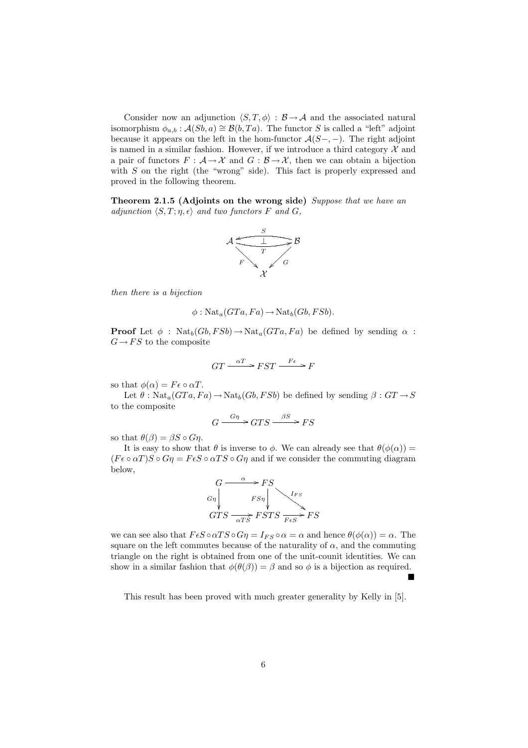Consider now an adjunction  $\langle S, T, \phi \rangle : \mathcal{B} \to \mathcal{A}$  and the associated natural isomorphism  $\phi_{a,b}$ :  $\mathcal{A}(Sb,a) \cong \mathcal{B}(b,Ta)$ . The functor S is called a "left" adjoint because it appears on the left in the hom-functor  $\mathcal{A}(S-,-)$ . The right adjoint is named in a similar fashion. However, if we introduce a third category  $\mathcal X$  and a pair of functors  $F : \mathcal{A} \to \mathcal{X}$  and  $G : \mathcal{B} \to \mathcal{X}$ , then we can obtain a bijection with  $S$  on the right (the "wrong" side). This fact is properly expressed and proved in the following theorem.

Theorem 2.1.5 (Adjoints on the wrong side) Suppose that we have an adjunction  $\langle S, T; \eta, \epsilon \rangle$  and two functors F and G,



then there is a bijection

$$
\phi: \operatorname{Nat}_a(GTa, Fa) \to \operatorname{Nat}_b(Gb, FSb).
$$

**Proof** Let  $\phi$ : Nat<sub>b</sub>(Gb, FSb)  $\rightarrow$  Nat<sub>a</sub>(GTa, Fa) be defined by sending  $\alpha$ :  $G \rightarrow FS$  to the composite

$$
GT \xrightarrow{\alpha T} FST \xrightarrow{F\epsilon} F
$$

so that  $\phi(\alpha) = F \epsilon \circ \alpha T$ .

Let  $\theta$ : Nat<sub>a</sub>( $GTa, Fa$ )  $\rightarrow$  Nat<sub>b</sub>( $Gb, FSb$ ) be defined by sending  $\beta : GT \rightarrow S$ to the composite

$$
G \xrightarrow{G\eta} GTS \xrightarrow{\beta S} FS
$$

so that  $\theta(\beta) = \beta S \circ G\eta$ .

It is easy to show that  $\theta$  is inverse to  $\phi$ . We can already see that  $\theta(\phi(\alpha)) =$  $(F \epsilon \circ \alpha T)S \circ G\eta = F \epsilon S \circ \alpha TS \circ G\eta$  and if we consider the commuting diagram below,



we can see also that  $F \epsilon S \circ \alpha T S \circ G \eta = I_{FS} \circ \alpha = \alpha$  and hence  $\theta(\phi(\alpha)) = \alpha$ . The square on the left commutes because of the naturality of  $\alpha$ , and the commuting triangle on the right is obtained from one of the unit-counit identities. We can show in a similar fashion that  $\phi(\theta(\beta)) = \beta$  and so  $\phi$  is a bijection as required.

This result has been proved with much greater generality by Kelly in [5].

 $\blacksquare$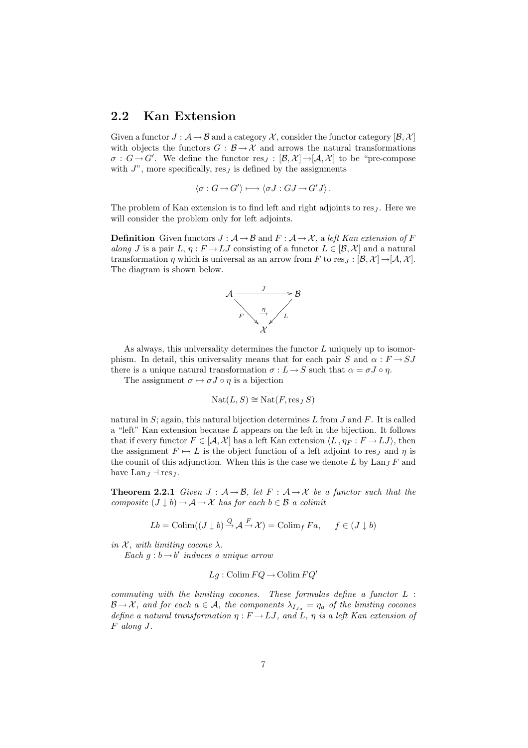### 2.2 Kan Extension

Given a functor  $J : A \rightarrow \mathcal{B}$  and a category  $\mathcal{X}$ , consider the functor category  $[\mathcal{B}, \mathcal{X}]$ with objects the functors  $G : \mathcal{B} \to \mathcal{X}$  and arrows the natural transformations  $\sigma: G \to G'$ . We define the functor  $res_J : [\mathcal{B}, \mathcal{X}] \to [\mathcal{A}, \mathcal{X}]$  to be "pre-compose with  $J^{\prime\prime}$ , more specifically, res<sub> $J$ </sub> is defined by the assignments

$$
\langle \sigma : G \to G' \rangle \longmapsto \langle \sigma J : GJ \to G'J \rangle.
$$

The problem of Kan extension is to find left and right adjoints to res<sub>J</sub>. Here we will consider the problem only for left adjoints.

**Definition** Given functors  $J : A \rightarrow B$  and  $F : A \rightarrow \mathcal{X}$ , a left Kan extension of F along J is a pair L,  $\eta : F \to LJ$  consisting of a functor  $L \in [\mathcal{B}, \mathcal{X}]$  and a natural transformation  $\eta$  which is universal as an arrow from F to res<sub>J</sub> :  $[\mathcal{B}, \mathcal{X}] \rightarrow [\mathcal{A}, \mathcal{X}]$ . The diagram is shown below.



As always, this universality determines the functor  $L$  uniquely up to isomorphism. In detail, this universality means that for each pair S and  $\alpha : F \to SJ$ there is a unique natural transformation  $\sigma: L \to S$  such that  $\alpha = \sigma J \circ \eta$ .

The assignment  $\sigma \mapsto \sigma J \circ \eta$  is a bijection

$$
Nat(L, S) \cong Nat(F, res_J S)
$$

natural in  $S$ ; again, this natural bijection determines  $L$  from  $J$  and  $F$ . It is called a "left" Kan extension because L appears on the left in the bijection. It follows that if every functor  $F \in [A, \mathcal{X}]$  has a left Kan extension  $\langle L, \eta_F : F \to LJ \rangle$ , then the assignment  $F \mapsto L$  is the object function of a left adjoint to res<sub>J</sub> and  $\eta$  is the counit of this adjunction. When this is the case we denote  $L$  by  $\text{Lan}_J F$  and have Lan<sub>J</sub>  $\exists$  res<sub>J</sub>.

**Theorem 2.2.1** Given  $J : A \rightarrow B$ , let  $F : A \rightarrow X$  be a functor such that the composite  $(J \downarrow b) \rightarrow A \rightarrow \mathcal{X}$  has for each  $b \in \mathcal{B}$  a colimit

$$
Lb = \text{Colim}((J \downarrow b) \xrightarrow{Q} \mathcal{A} \xrightarrow{F} \mathcal{X}) = \text{Colim}_{f} Fa, \quad f \in (J \downarrow b)
$$

in  $\mathcal{X}$ , with limiting cocone  $\lambda$ .

Each  $g : b \rightarrow b'$  induces a unique arrow

$$
Lg: \operatorname{Colim} FQ \to \operatorname{Colim} FQ'
$$

commuting with the limiting cocones. These formulas define a functor L :  $\mathcal{B} \to \mathcal{X}$ , and for each  $a \in \mathcal{A}$ , the components  $\lambda_{I,a} = \eta_a$  of the limiting cocones define a natural transformation  $\eta : F \to LJ$ , and L,  $\eta$  is a left Kan extension of F along J.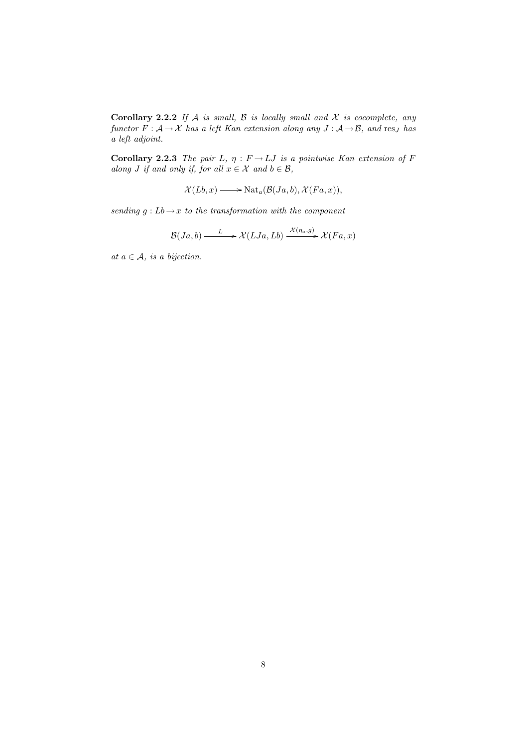Corollary 2.2.2 If  $A$  is small,  $B$  is locally small and  $X$  is cocomplete, any functor  $F: \mathcal{A} \to \mathcal{X}$  has a left Kan extension along any  $J: \mathcal{A} \to \mathcal{B}$ , and res<sub>J</sub> has a left adjoint.

Corollary 2.2.3 The pair L,  $\eta : F \to LJ$  is a pointwise Kan extension of F along J if and only if, for all  $x \in \mathcal{X}$  and  $b \in \mathcal{B}$ ,

 $\mathcal{X}(Lb, x) \longrightarrow \text{Nat}_{a}(\mathcal{B}(Ja, b), \mathcal{X}(Fa, x)),$ 

sending  $g : Lb \to x$  to the transformation with the component

$$
\mathcal{B}(Ja,b) \xrightarrow{L} \mathcal{X}(LJa,Lb) \xrightarrow{\mathcal{X}(\eta_a,g)} \mathcal{X}(Fa,x)
$$

at  $a \in \mathcal{A}$ , is a bijection.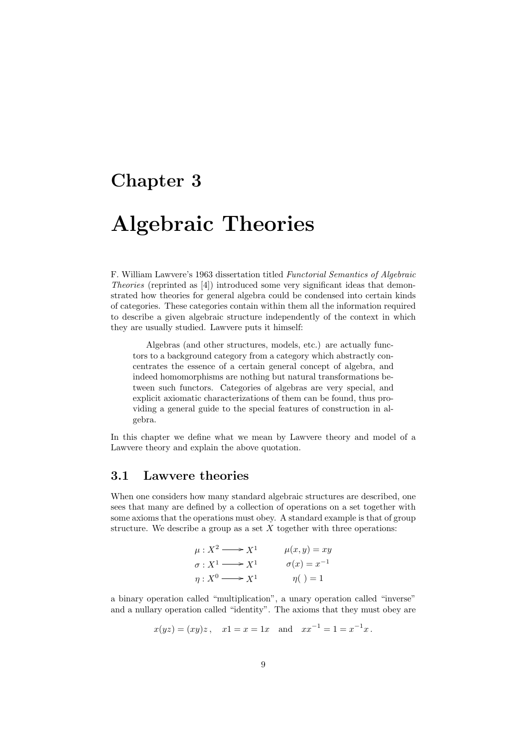# Chapter 3

# Algebraic Theories

F. William Lawvere's 1963 dissertation titled Functorial Semantics of Algebraic Theories (reprinted as [4]) introduced some very significant ideas that demonstrated how theories for general algebra could be condensed into certain kinds of categories. These categories contain within them all the information required to describe a given algebraic structure independently of the context in which they are usually studied. Lawvere puts it himself:

Algebras (and other structures, models, etc.) are actually functors to a background category from a category which abstractly concentrates the essence of a certain general concept of algebra, and indeed homomorphisms are nothing but natural transformations between such functors. Categories of algebras are very special, and explicit axiomatic characterizations of them can be found, thus providing a general guide to the special features of construction in algebra.

In this chapter we define what we mean by Lawvere theory and model of a Lawvere theory and explain the above quotation.

### 3.1 Lawvere theories

When one considers how many standard algebraic structures are described, one sees that many are defined by a collection of operations on a set together with some axioms that the operations must obey. A standard example is that of group structure. We describe a group as a set  $X$  together with three operations:

$$
\mu: X^2 \longrightarrow X^1 \qquad \mu(x, y) = xy
$$
  
\n
$$
\sigma: X^1 \longrightarrow X^1 \qquad \sigma(x) = x^{-1}
$$
  
\n
$$
\eta: X^0 \longrightarrow X^1 \qquad \eta \qquad \eta = 1
$$

a binary operation called "multiplication", a unary operation called "inverse" and a nullary operation called "identity". The axioms that they must obey are

$$
x(yz) = (xy)z
$$
,  $x1 = x = 1x$  and  $xx^{-1} = 1 = x^{-1}x$ .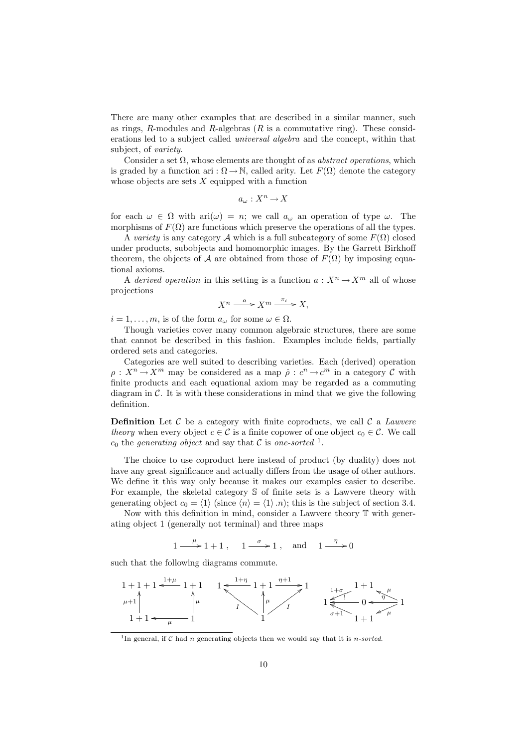There are many other examples that are described in a similar manner, such as rings, R-modules and R-algebras  $(R$  is a commutative ring). These considerations led to a subject called universal algebra and the concept, within that subject, of variety.

Consider a set  $\Omega$ , whose elements are thought of as *abstract operations*, which is graded by a function ari :  $\Omega \to \mathbb{N}$ , called arity. Let  $F(\Omega)$  denote the category whose objects are sets  $X$  equipped with a function

$$
a_\omega:X^n\to X
$$

for each  $\omega \in \Omega$  with  $\text{ari}(\omega) = n$ ; we call  $a_{\omega}$  an operation of type  $\omega$ . The morphisms of  $F(\Omega)$  are functions which preserve the operations of all the types.

A variety is any category A which is a full subcategory of some  $F(\Omega)$  closed under products, subobjects and homomorphic images. By the Garrett Birkhoff theorem, the objects of A are obtained from those of  $F(\Omega)$  by imposing equational axioms.

A derived operation in this setting is a function  $a: X^n \to X^m$  all of whose projections

$$
X^n \xrightarrow{a} X^m \xrightarrow{\pi_i} X,
$$

 $i = 1, \ldots, m$ , is of the form  $a_{\omega}$  for some  $\omega \in \Omega$ .

Though varieties cover many common algebraic structures, there are some that cannot be described in this fashion. Examples include fields, partially ordered sets and categories.

Categories are well suited to describing varieties. Each (derived) operation  $\rho: X^n \to X^m$  may be considered as a map  $\hat{\rho}: c^n \to c^m$  in a category C with finite products and each equational axiom may be regarded as a commuting diagram in  $\mathcal{C}$ . It is with these considerations in mind that we give the following definition.

**Definition** Let C be a category with finite coproducts, we call C a *Lawvere* theory when every object  $c \in \mathcal{C}$  is a finite copower of one object  $c_0 \in \mathcal{C}$ . We call  $c_0$  the generating object and say that C is one-sorted <sup>1</sup>.

The choice to use coproduct here instead of product (by duality) does not have any great significance and actually differs from the usage of other authors. We define it this way only because it makes our examples easier to describe. For example, the skeletal category S of finite sets is a Lawvere theory with generating object  $c_0 = \langle 1 \rangle$  (since  $\langle n \rangle = \langle 1 \rangle \langle n \rangle$ ; this is the subject of section 3.4.

Now with this definition in mind, consider a Lawvere theory T with generating object 1 (generally not terminal) and three maps

 $1 \longrightarrow 1 + 1$ ,  $1 \longrightarrow 1$ , and  $1 \longrightarrow 0$ 

such that the following diagrams commute.

$$
\begin{array}{ccc}\n1+1+1 < \xrightarrow{l+\mu} 1+1 & 1 < \xrightarrow{l+\eta} 1+1 & \xrightarrow{\eta+1} 1 & \\
\downarrow \mu+1 & \uparrow \mu & \uparrow \mu & \uparrow \mu & \uparrow \mu & \\
1+1 < \xrightarrow{\mu} & 1 & \downarrow \mu & \uparrow \mu & \\
1+1 < \xrightarrow{\mu} & 1 & \downarrow \mu & \downarrow \mu & \downarrow \mu & \\
1+1 < \xrightarrow{\mu} & 1 & \downarrow \mu & \downarrow \mu & \downarrow \mu & \\
1+1 < \xrightarrow{\mu} & 1 & \downarrow \mu & \downarrow \mu & \downarrow \mu & \\
1+1 < \xrightarrow{\mu} & 1 & \downarrow \mu & \downarrow \mu & \downarrow \mu & \\
1+1 < \xrightarrow{\mu} & 1 & \downarrow \mu & \downarrow \mu & \downarrow \mu & \downarrow \mu & \\
1+1 < \xrightarrow{\mu} & 1 & \downarrow \mu & \downarrow \mu & \downarrow \mu & \downarrow \mu & \downarrow \mu & \\
1+1 < \xrightarrow{\mu} & 1 & \downarrow \mu & \downarrow \mu & \downarrow \mu & \downarrow \mu & \downarrow \mu & \downarrow \mu & \downarrow \mu & \downarrow \mu & \\
1+1 < \xrightarrow{\mu} & 1 & \downarrow \mu & \downarrow \mu & \downarrow \mu & \downarrow \mu & \downarrow \mu & \downarrow \mu & \downarrow \mu & \downarrow \mu & \downarrow \mu & \downarrow \mu & \downarrow \mu & \downarrow \mu & \downarrow \mu & \downarrow \mu & \downarrow \mu & \downarrow \mu & \downarrow \mu & \downarrow \mu & \downarrow \mu & \downarrow \mu & \downarrow \mu & \downarrow \mu & \downarrow \mu & \downarrow \mu & \downarrow \mu & \downarrow \mu & \downarrow \mu & \down
$$

<sup>1</sup>In general, if C had n generating objects then we would say that it is n-sorted.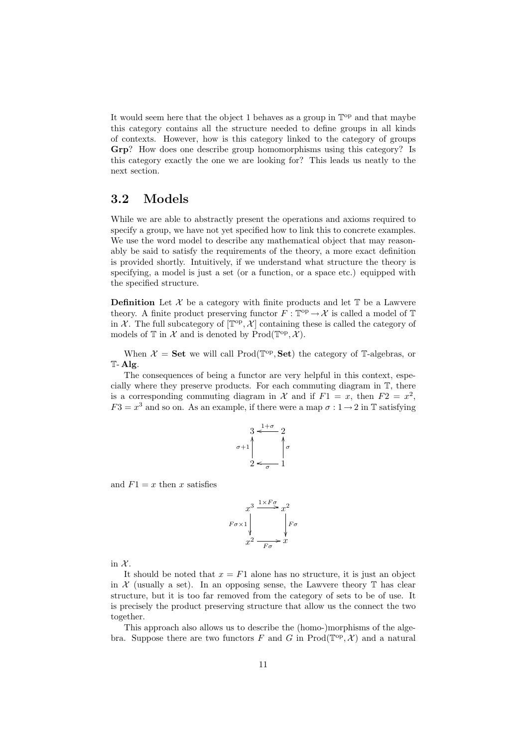It would seem here that the object 1 behaves as a group in  $\mathbb{T}^{\text{op}}$  and that maybe this category contains all the structure needed to define groups in all kinds of contexts. However, how is this category linked to the category of groups Grp? How does one describe group homomorphisms using this category? Is this category exactly the one we are looking for? This leads us neatly to the next section.

## 3.2 Models

While we are able to abstractly present the operations and axioms required to specify a group, we have not yet specified how to link this to concrete examples. We use the word model to describe any mathematical object that may reasonably be said to satisfy the requirements of the theory, a more exact definition is provided shortly. Intuitively, if we understand what structure the theory is specifying, a model is just a set (or a function, or a space etc.) equipped with the specified structure.

**Definition** Let  $\mathcal{X}$  be a category with finite products and let  $\mathbb{T}$  be a Lawvere theory. A finite product preserving functor  $F : \mathbb{T}^{\text{op}} \to \mathcal{X}$  is called a model of  $\mathbb{T}$ in X. The full subcategory of  $[\mathbb{T}^{op}, \mathcal{X}]$  containing these is called the category of models of  $\mathbb T$  in  $\mathcal X$  and is denoted by  $\mathrm{Prod}(\mathbb{T}^{\mathrm{op}}, \mathcal X)$ .

When  $\mathcal{X} = \mathbf{Set}$  we will call Prod( $\mathbb{T}^{\mathrm{op}}, \mathbf{Set}$ ) the category of T-algebras, or T- Alg.

The consequences of being a functor are very helpful in this context, especially where they preserve products. For each commuting diagram in T, there is a corresponding commuting diagram in  $\mathcal X$  and if  $F1 = x$ , then  $F2 = x^2$ ,  $F3 = x^3$  and so on. As an example, if there were a map  $\sigma : 1 \rightarrow 2$  in T satisfying

$$
\sigma+1\begin{matrix}3&\xrightarrow{1+\sigma}&2\\&\nearrow\\2&\xrightarrow{\sigma}&1\end{matrix}
$$

and  $F1 = x$  then x satisfies

$$
F\sigma \times 1 \downarrow \qquad \qquad F\sigma
$$
\n
$$
F\sigma \times 1 \downarrow \qquad \qquad F\sigma
$$
\n
$$
x^2 \xrightarrow{F\sigma} x
$$

in  $\mathcal{X}$ .

It should be noted that  $x = F1$  alone has no structure, it is just an object in  $\mathcal X$  (usually a set). In an opposing sense, the Lawvere theory  $\mathbb T$  has clear structure, but it is too far removed from the category of sets to be of use. It is precisely the product preserving structure that allow us the connect the two together.

This approach also allows us to describe the (homo-)morphisms of the algebra. Suppose there are two functors F and G in  $\text{Prod}(\mathbb{T}^{\text{op}}, \mathcal{X})$  and a natural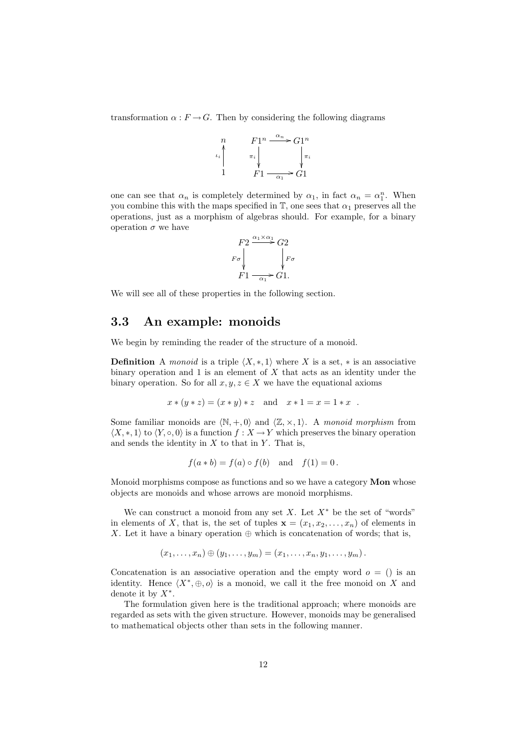transformation  $\alpha : F \to G$ . Then by considering the following diagrams



one can see that  $\alpha_n$  is completely determined by  $\alpha_1$ , in fact  $\alpha_n = \alpha_1^n$ . When you combine this with the maps specified in  $\mathbb{T}$ , one sees that  $\alpha_1$  preserves all the operations, just as a morphism of algebras should. For example, for a binary operation  $\sigma$  we have

$$
\begin{array}{c}\nF2\xrightarrow{\alpha_1\times\alpha_1}G2\\
F\sigma\n\end{array}\n\quad\n\begin{array}{c}\nF2\xrightarrow{\alpha_1\times\alpha_1}G2\\
F\sigma\n\end{array}
$$
\n
$$
F1\xrightarrow{\alpha_1}\nG1.
$$

We will see all of these properties in the following section.

### 3.3 An example: monoids

We begin by reminding the reader of the structure of a monoid.

**Definition** A monoid is a triple  $\langle X, *, 1 \rangle$  where X is a set,  $*$  is an associative binary operation and  $1$  is an element of  $X$  that acts as an identity under the binary operation. So for all  $x, y, z \in X$  we have the equational axioms

$$
x * (y * z) = (x * y) * z
$$
 and  $x * 1 = x = 1 * x$ .

Some familiar monoids are  $\langle \mathbb{N}, +, 0 \rangle$  and  $\langle \mathbb{Z}, \times, 1 \rangle$ . A monoid morphism from  $\langle X, \ast, 1 \rangle$  to  $\langle Y, \circ, 0 \rangle$  is a function  $f : X \to Y$  which preserves the binary operation and sends the identity in  $X$  to that in  $Y$ . That is,

$$
f(a * b) = f(a) \circ f(b)
$$
 and  $f(1) = 0$ .

Monoid morphisms compose as functions and so we have a category Mon whose objects are monoids and whose arrows are monoid morphisms.

We can construct a monoid from any set X. Let  $X^*$  be the set of "words" in elements of X, that is, the set of tuples  $\mathbf{x} = (x_1, x_2, \dots, x_n)$  of elements in X. Let it have a binary operation  $\oplus$  which is concatenation of words; that is,

$$
(x_1,\ldots,x_n)\oplus (y_1,\ldots,y_m)=(x_1,\ldots,x_n,y_1,\ldots,y_m).
$$

Concatenation is an associative operation and the empty word  $o = ()$  is an identity. Hence  $\langle X^*, \oplus, o \rangle$  is a monoid, we call it the free monoid on X and denote it by  $X^*$ .

The formulation given here is the traditional approach; where monoids are regarded as sets with the given structure. However, monoids may be generalised to mathematical objects other than sets in the following manner.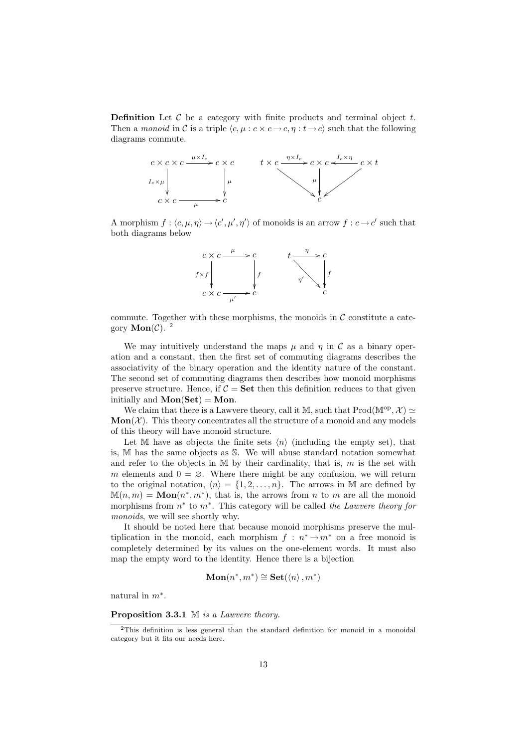**Definition** Let  $\mathcal{C}$  be a category with finite products and terminal object  $t$ . Then a monoid in C is a triple  $\langle c, \mu : c \times c \rightarrow c, \eta : t \rightarrow c \rangle$  such that the following diagrams commute.



A morphism  $f : \langle c, \mu, \eta \rangle \to \langle c', \mu', \eta' \rangle$  of monoids is an arrow  $f : c \to c'$  such that both diagrams below



commute. Together with these morphisms, the monoids in  $\mathcal C$  constitute a category **Mon** $(\mathcal{C})$ . <sup>2</sup>

We may intuitively understand the maps  $\mu$  and  $\eta$  in C as a binary operation and a constant, then the first set of commuting diagrams describes the associativity of the binary operation and the identity nature of the constant. The second set of commuting diagrams then describes how monoid morphisms preserve structure. Hence, if  $C = Set$  then this definition reduces to that given initially and  $Mon(Set) = Mon.$ 

We claim that there is a Lawvere theory, call it M, such that  $\text{Prod}(\mathbb{M}^{\text{op}}, \mathcal{X}) \simeq$  $Mon(X)$ . This theory concentrates all the structure of a monoid and any models of this theory will have monoid structure.

Let M have as objects the finite sets  $\langle n \rangle$  (including the empty set), that is, M has the same objects as S. We will abuse standard notation somewhat and refer to the objects in  $M$  by their cardinality, that is,  $m$  is the set with m elements and  $0 = \emptyset$ . Where there might be any confusion, we will return to the original notation,  $\langle n \rangle = \{1, 2, \ldots, n\}$ . The arrows in M are defined by  $M(n, m) = \text{Mon}(n^*, m^*)$ , that is, the arrows from *n* to *m* are all the monoid morphisms from  $n^*$  to  $m^*$ . This category will be called the Lawvere theory for monoids, we will see shortly why.

It should be noted here that because monoid morphisms preserve the multiplication in the monoid, each morphism  $f : n^* \to m^*$  on a free monoid is completely determined by its values on the one-element words. It must also map the empty word to the identity. Hence there is a bijection

$$
\mathbf{Mon}(n^*, m^*) \cong \mathbf{Set}(\langle n \rangle, m^*)
$$

natural in  $m^*$ .

Proposition 3.3.1 M is a Lawvere theory.

<sup>2</sup>This definition is less general than the standard definition for monoid in a monoidal category but it fits our needs here.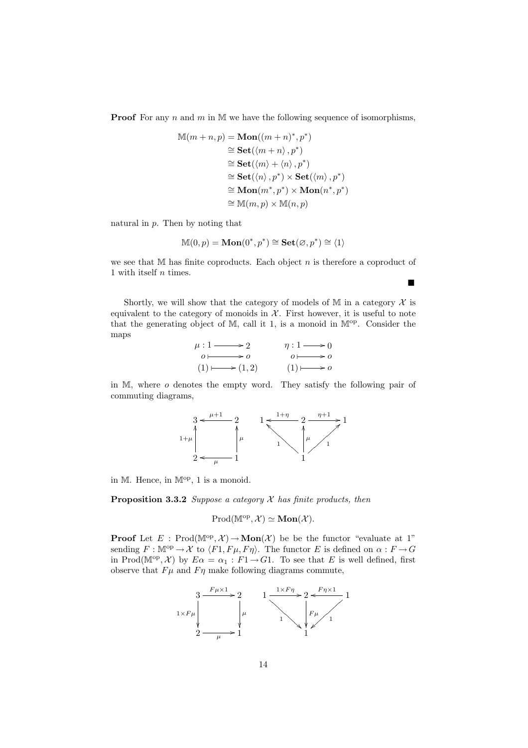**Proof** For any n and m in  $M$  we have the following sequence of isomorphisms,

$$
\mathbb{M}(m+n, p) = \mathbf{Mon}((m+n)^*, p^*)
$$
  
\n
$$
\cong \mathbf{Set}(\langle m+n \rangle, p^*)
$$
  
\n
$$
\cong \mathbf{Set}(\langle m \rangle + \langle n \rangle, p^*)
$$
  
\n
$$
\cong \mathbf{Set}(\langle n \rangle, p^*) \times \mathbf{Set}(\langle m \rangle, p^*)
$$
  
\n
$$
\cong \mathbf{Mon}(m^*, p^*) \times \mathbf{Mon}(n^*, p^*)
$$
  
\n
$$
\cong \mathbb{M}(m, p) \times \mathbb{M}(n, p)
$$

natural in  $p$ . Then by noting that

$$
\mathbb{M}(0,p) = \mathbf{Mon}(0^*,p^*) \cong \mathbf{Set}(\varnothing,p^*) \cong \langle 1 \rangle
$$

we see that  $M$  has finite coproducts. Each object  $n$  is therefore a coproduct of 1 with itself  $n$  times.

П

Shortly, we will show that the category of models of M in a category  $\mathcal X$  is equivalent to the category of monoids in  $X$ . First however, it is useful to note that the generating object of  $M$ , call it 1, is a monoid in  $\mathbb{M}^{\text{op}}$ . Consider the maps

| $\mu:1\longrightarrow 2$            | $\eta:1\longrightarrow 0$ |
|-------------------------------------|---------------------------|
| $\ddot{o}$ $\rightarrow$ $\ddot{o}$ | $0 \longmapsto 0$         |
| $(1) \longmapsto (1,2)$             | $(1) \longmapsto o$       |

in M, where o denotes the empty word. They satisfy the following pair of commuting diagrams,



in M. Hence, in  $\mathbb{M}^{\text{op}}$ , 1 is a monoid.

**Proposition 3.3.2** Suppose a category  $X$  has finite products, then

$$
Prod(\mathbb{M}^{op}, \mathcal{X}) \simeq \mathbf{Mon}(\mathcal{X}).
$$

**Proof** Let  $E : \text{Prod}(\mathbb{M}^{\text{op}}, \mathcal{X}) \to \text{Mon}(\mathcal{X})$  be be the functor "evaluate at 1" sending  $F : \mathbb{M}^{\text{op}} \to \mathcal{X}$  to  $\langle F1, F\mu, F\eta \rangle$ . The functor E is defined on  $\alpha : F \to G$ in Prod( $\mathbb{M}^{\text{op}}, \mathcal{X}$ ) by  $E\alpha = \alpha_1 : F1 \to G1$ . To see that E is well defined, first observe that  $Fu$  and  $F\eta$  make following diagrams commute,

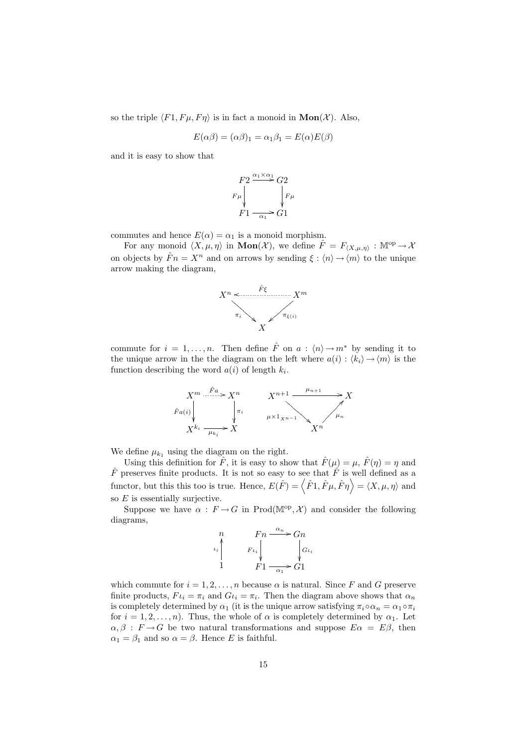so the triple  $\langle F1, F\mu, F\eta \rangle$  is in fact a monoid in  $\text{Mon}(\mathcal{X})$ . Also,

$$
E(\alpha \beta) = (\alpha \beta)_1 = \alpha_1 \beta_1 = E(\alpha)E(\beta)
$$

and it is easy to show that



commutes and hence  $E(\alpha) = \alpha_1$  is a monoid morphism.

For any monoid  $\langle X, \mu, \eta \rangle$  in  $\text{Mon}(\mathcal{X})$ , we define  $\hat{F} = F_{\langle X, \mu, \eta \rangle} : \mathbb{M}^{\text{op}} \to \mathcal{X}$ on objects by  $\hat{F}n = X^n$  and on arrows by sending  $\xi : \langle n \rangle \rightarrow \langle m \rangle$  to the unique arrow making the diagram,



commute for  $i = 1, \ldots, n$ . Then define  $\hat{F}$  on  $a : \langle n \rangle \rightarrow m^*$  by sending it to the unique arrow in the the diagram on the left where  $a(i) : \langle k_i \rangle \rightarrow \langle m \rangle$  is the function describing the word  $a(i)$  of length  $k_i$ .



We define  $\mu_{k_1}$  using the diagram on the right.

Using this definition for  $\hat{F}$ , it is easy to show that  $\hat{F}(\mu) = \mu$ ,  $\hat{F}(\eta) = \eta$  and  $\hat{F}$  preserves finite products. It is not so easy to see that  $\hat{F}$  is well defined as a functor, but this this too is true. Hence,  $E(\hat{F}) = \langle \hat{F}1, \hat{F}\mu, \hat{F}\eta \rangle = \langle X, \mu, \eta \rangle$  and so  $E$  is essentially surjective.

Suppose we have  $\alpha : F \to G$  in Prod(M<sup>op</sup>, X) and consider the following diagrams,

$$
\begin{array}{ccc}\nn & Fn \xrightarrow{\alpha_n} Gn \\
\downarrow \i \downarrow & F\iota_i \downarrow & \downarrow \i \downarrow \\
1 & F1 \xrightarrow{\alpha_1} G1\n\end{array}
$$

which commute for  $i = 1, 2, ..., n$  because  $\alpha$  is natural. Since F and G preserve finite products,  $F_{i} = \pi_{i}$  and  $G_{i} = \pi_{i}$ . Then the diagram above shows that  $\alpha_{n}$ is completely determined by  $\alpha_1$  (it is the unique arrow satisfying  $\pi_i \circ \alpha_n = \alpha_1 \circ \pi_i$ for  $i = 1, 2, ..., n$ ). Thus, the whole of  $\alpha$  is completely determined by  $\alpha_1$ . Let  $\alpha, \beta : F \to G$  be two natural transformations and suppose  $E \alpha = E \beta$ , then  $\alpha_1 = \beta_1$  and so  $\alpha = \beta$ . Hence E is faithful.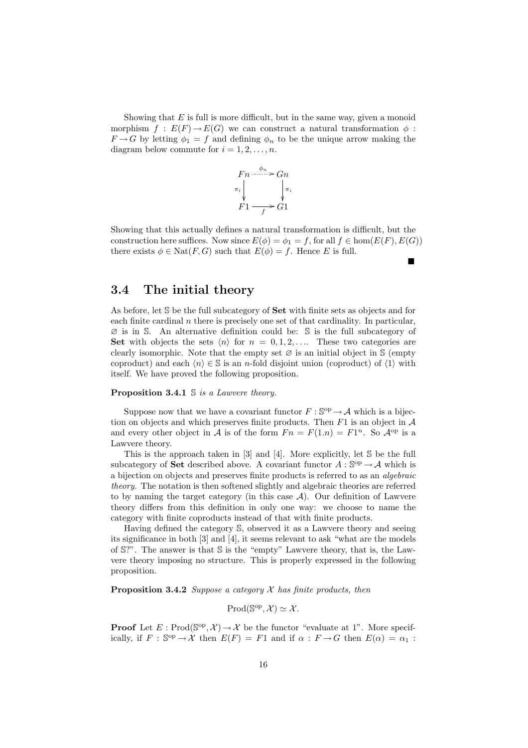Showing that  $E$  is full is more difficult, but in the same way, given a monoid morphism  $f : E(F) \to E(G)$  we can construct a natural transformation  $\phi$ :  $F \rightarrow G$  by letting  $\phi_1 = f$  and defining  $\phi_n$  to be the unique arrow making the diagram below commute for  $i = 1, 2, \ldots, n$ .



Showing that this actually defines a natural transformation is difficult, but the construction here suffices. Now since  $E(\phi) = \phi_1 = f$ , for all  $f \in \text{hom}(E(F), E(G))$ there exists  $\phi \in \text{Nat}(F, G)$  such that  $E(\phi) = f$ . Hence E is full.

 $\blacksquare$ 

### 3.4 The initial theory

As before, let S be the full subcategory of Set with finite sets as objects and for each finite cardinal  $n$  there is precisely one set of that cardinality. In particular,  $\varnothing$  is in S. An alternative definition could be: S is the full subcategory of Set with objects the sets  $\langle n \rangle$  for  $n = 0, 1, 2, \ldots$  These two categories are clearly isomorphic. Note that the empty set  $\varnothing$  is an initial object in S (empty coproduct) and each  $\langle n \rangle \in \mathbb{S}$  is an n-fold disjoint union (coproduct) of  $\langle 1 \rangle$  with itself. We have proved the following proposition.

#### **Proposition 3.4.1**  $\mathbb{S}$  is a Lawvere theory.

Suppose now that we have a covariant functor  $F : \mathbb{S}^{op} \to \mathcal{A}$  which is a bijection on objects and which preserves finite products. Then  $F1$  is an object in  $A$ and every other object in A is of the form  $Fn = F(1.n) = F1^n$ . So  $\mathcal{A}^{op}$  is a Lawvere theory.

This is the approach taken in [3] and [4]. More explicitly, let S be the full subcategory of Set described above. A covariant functor  $A: \mathbb{S}^{op} \to \mathcal{A}$  which is a bijection on objects and preserves finite products is referred to as an algebraic theory. The notation is then softened slightly and algebraic theories are referred to by naming the target category (in this case  $A$ ). Our definition of Lawvere theory differs from this definition in only one way: we choose to name the category with finite coproducts instead of that with finite products.

Having defined the category S, observed it as a Lawvere theory and seeing its significance in both [3] and [4], it seems relevant to ask "what are the models of  $\mathbb{S}$ ?". The answer is that  $\mathbb{S}$  is the "empty" Lawvere theory, that is, the Lawvere theory imposing no structure. This is properly expressed in the following proposition.

**Proposition 3.4.2** Suppose a category  $X$  has finite products, then

 $\text{Prod}(\mathbb{S}^{\text{op}}, \mathcal{X}) \simeq \mathcal{X}.$ 

**Proof** Let  $E: \text{Prod}(\mathbb{S}^{op}, \mathcal{X}) \to \mathcal{X}$  be the functor "evaluate at 1". More specifically, if  $F : \mathbb{S}^{op} \to \mathcal{X}$  then  $E(F) = F1$  and if  $\alpha : F \to G$  then  $E(\alpha) = \alpha_1 :$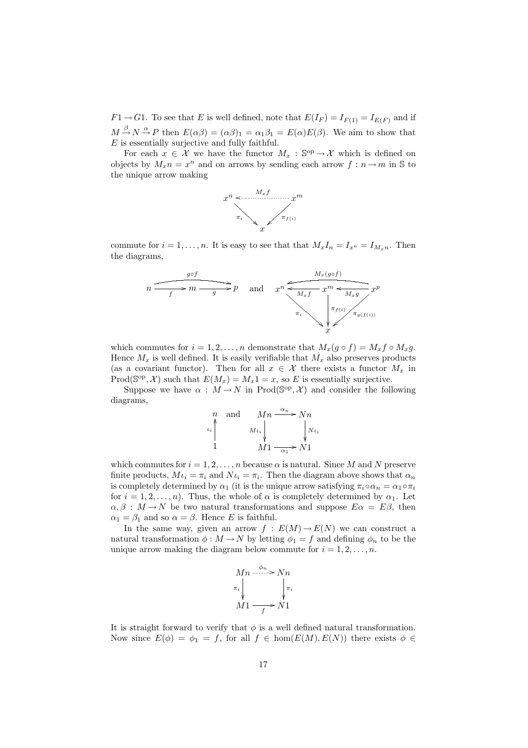$F1 \rightarrow G1$ . To see that E is well defined, note that  $E(I_F) = I_{F(1)} = I_{E(F)}$  and if  $M \stackrel{\beta}{\rightarrow} N \stackrel{\alpha}{\rightarrow} P$  then  $E(\alpha\beta) = (\alpha\beta)_1 = \alpha_1\beta_1 = E(\alpha)E(\beta)$ . We aim to show that  $E$  is essentially surjective and fully faithful.

For each  $x \in \mathcal{X}$  we have the functor  $M_x : \mathbb{S}^{op} \to \mathcal{X}$  which is defined on objects by  $M_x n = x^n$  and on arrows by sending each arrow  $f: n \to m$  in S to the unique arrow making



commute for  $i = 1, \ldots, n$ . It is easy to see that that  $M_x I_n = I_{x^n} = I_{M_x n}$ . Then the diagrams,



which commutes for  $i = 1, 2, ..., n$  demonstrate that  $M_x(g \circ f) = M_x f \circ M_x g$ . Hence  $M_x$  is well defined. It is easily verifiable that  $M_x$  also preserves products (as a covariant functor). Then for all  $x \in \mathcal{X}$  there exists a functor  $M_x$  in  $Prod(\mathbb{S}^{op}, \mathcal{X})$  such that  $E(M_x) = M_x 1 = x$ , so E is essentially surjective.

Suppose we have  $\alpha : M \to N$  in Prod( $\mathbb{S}^{op}, \mathcal{X}$ ) and consider the following diagrams,

$$
\begin{array}{ccc}\nn & \text{and} & Mn \xrightarrow{\alpha_n} Nn \\
\downarrow \downarrow & & \downarrow \downarrow \\
1 & & M1 \xrightarrow{\alpha_1} N1\n\end{array}
$$

which commutes for  $i = 1, 2, ..., n$  because  $\alpha$  is natural. Since M and N preserve finite products,  $M_{i} = \pi_{i}$  and  $N_{i} = \pi_{i}$ . Then the diagram above shows that  $\alpha_{n}$ is completely determined by  $\alpha_1$  (it is the unique arrow satisfying  $\pi_i \circ \alpha_n = \alpha_1 \circ \pi_i$ for  $i = 1, 2, ..., n$ ). Thus, the whole of  $\alpha$  is completely determined by  $\alpha_1$ . Let  $\alpha, \beta : M \to N$  be two natural transformations and suppose  $E\alpha = E\beta$ , then  $\alpha_1 = \beta_1$  and so  $\alpha = \beta$ . Hence E is faithful.

In the same way, given an arrow  $f : E(M) \to E(N)$  we can construct a natural transformation  $\phi : M \to N$  by letting  $\phi_1 = f$  and defining  $\phi_n$  to be the unique arrow making the diagram below commute for  $i = 1, 2, \ldots, n$ .

$$
Mn \xrightarrow{\phi_n} Nn
$$
  
\n
$$
\pi_i \downarrow \qquad \qquad \downarrow \pi_i
$$
  
\n
$$
M1 \xrightarrow{f} N1
$$

It is straight forward to verify that  $\phi$  is a well defined natural transformation. Now since  $E(\phi) = \phi_1 = f$ , for all  $f \in \text{hom}(E(M), E(N))$  there exists  $\phi \in$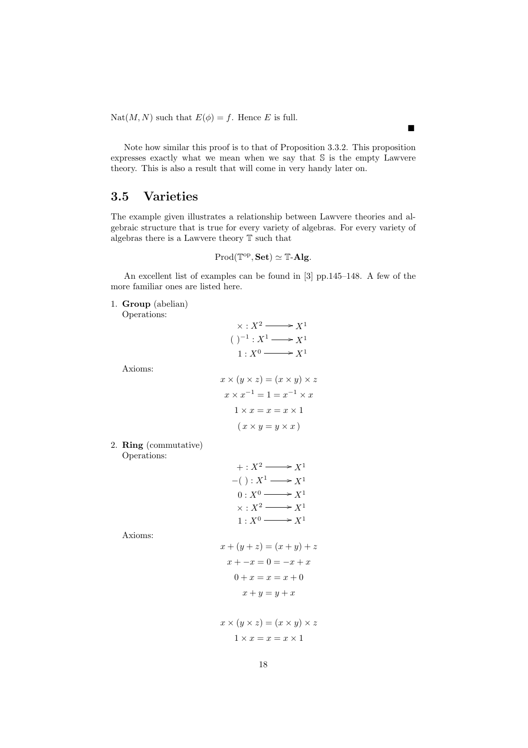Nat $(M, N)$  such that  $E(\phi) = f$ . Hence E is full.

Note how similar this proof is to that of Proposition 3.3.2. This proposition expresses exactly what we mean when we say that S is the empty Lawvere theory. This is also a result that will come in very handy later on.

## 3.5 Varieties

The example given illustrates a relationship between Lawvere theories and algebraic structure that is true for every variety of algebras. For every variety of algebras there is a Lawvere theory T such that

$$
Prod(\mathbb{T}^{op}, \mathbf{Set}) \simeq \mathbb{T}\text{-}\mathbf{Alg}.
$$

An excellent list of examples can be found in [3] pp.145–148. A few of the more familiar ones are listed here.

1. Group (abelian)

Operations:

Axioms:

| $\times : X^2 \longrightarrow X^1$              |
|-------------------------------------------------|
| $()^{-1}: X^1 \longrightarrow X^1$              |
| $1: X^0 \longrightarrow X^1$                    |
|                                                 |
| $x \times (y \times z) = (x \times y) \times z$ |
| $x \times x^{-1} = 1 = x^{-1} \times x$         |
| $1 \times x = x = x \times 1$                   |
| $(x \times y = y \times x)$                     |
|                                                 |

2. Ring (commutative) Operations:

| $+: X^2 \longrightarrow X^1$       |
|------------------------------------|
| $-() : X^1 \longrightarrow X^1$    |
| $0: X^0 \longrightarrow X^1$       |
| $\times : X^2 \longrightarrow X^1$ |
| $1: X^0 \longrightarrow X^1$       |

Axioms:

$$
x + (y + z) = (x + y) + z
$$

$$
x + -x = 0 = -x + x
$$

$$
0 + x = x = x + 0
$$

$$
x + y = y + x
$$

$$
x \times (y \times z) = (x \times y) \times z
$$

$$
1 \times x = x = x \times 1
$$

 $\blacksquare$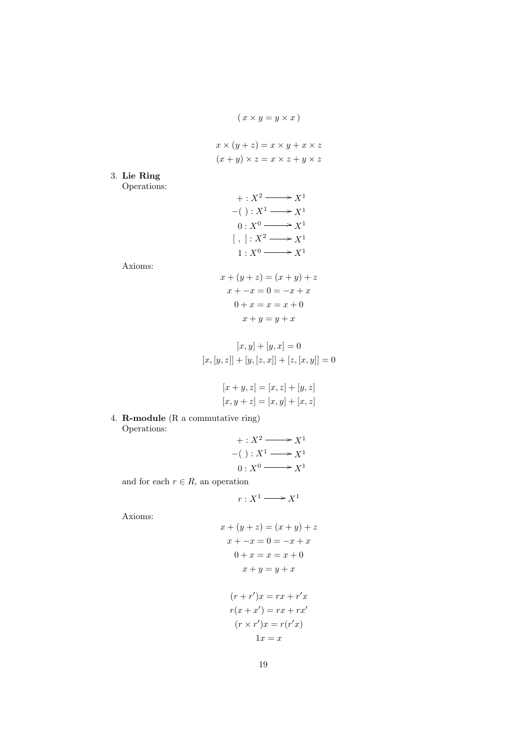$$
(x \times y = y \times x)
$$

$$
x \times (y + z) = x \times y + x \times z
$$

$$
(x + y) \times z = x \times z + y \times z
$$

3. Lie Ring

Operations:

$$
+ : X^2 \longrightarrow X^1
$$
  
\n
$$
-() : X^1 \longrightarrow X^1
$$
  
\n
$$
0 : X^0 \longrightarrow X^1
$$
  
\n
$$
[ , ] : X^2 \longrightarrow X^1
$$
  
\n
$$
1 : X^0 \longrightarrow X^1
$$

Axioms:

$$
x + (y + z) = (x + y) + z
$$

$$
x + -x = 0 = -x + x
$$

$$
0 + x = x = x + 0
$$

$$
x + y = y + x
$$

$$
[x, y] + [y, x] = 0
$$
  

$$
[x, [y, z]] + [y, [z, x]] + [z, [x, y]] = 0
$$

$$
[x + y, z] = [x, z] + [y, z]
$$

$$
[x, y + z] = [x, y] + [x, z]
$$

4. R-module (R a commutative ring) Operations:

$$
+ : X^2 \longrightarrow X^1
$$
  
-( ) :  $X^1 \longrightarrow X^1$   
0 :  $X^0 \longrightarrow X^1$ 

and for each  $r \in R$ , an operation

$$
r:X^1\longrightarrow X^1
$$

Axioms:

$$
x + (y + z) = (x + y) + z
$$

$$
x + -x = 0 = -x + x
$$

$$
0 + x = x = x + 0
$$

$$
x + y = y + x
$$

$$
(r + r')x = rx + r'x
$$

$$
r(x + x') = rx + rx'
$$

$$
(r \times r')x = r(r'x)
$$

$$
1x = x
$$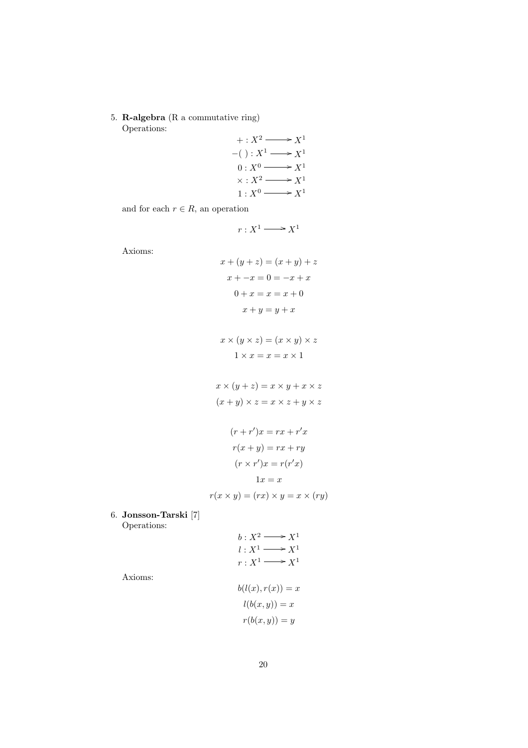5. R-algebra (R a commutative ring) Operations:

$$
+ : X^2 \longrightarrow X^1
$$
  
\n
$$
-() : X^1 \longrightarrow X^1
$$
  
\n
$$
0 : X^0 \longrightarrow X^1
$$
  
\n
$$
\times : X^2 \longrightarrow X^1
$$
  
\n
$$
1 : X^0 \longrightarrow X^1
$$

and for each  $r \in R$ , an operation

$$
r:X^1\longrightarrow X^1
$$

Axioms:

$$
x + (y + z) = (x + y) + z
$$

$$
x + -x = 0 = -x + x
$$

$$
0 + x = x = x + 0
$$

$$
x + y = y + x
$$

$$
x \times (y \times z) = (x \times y) \times z
$$

$$
1 \times x = x = x \times 1
$$

$$
x \times (y + z) = x \times y + x \times z
$$

$$
(x + y) \times z = x \times z + y \times z
$$

$$
(r + r')x = rx + r'x
$$

$$
r(x + y) = rx + ry
$$

$$
(r \times r')x = r(r'x)
$$

$$
1x = x
$$

$$
r(x \times y) = (rx) \times y = x \times (ry)
$$

$$
\begin{array}{cccc}\n\ddots & \circ & \circ & \circ\n\end{array}
$$

6. Jonsson-Tarski [7] Operations:

$$
b: X^2 \longrightarrow X^1
$$
  
\n
$$
l: X^1 \longrightarrow X^1
$$
  
\n
$$
r: X^1 \longrightarrow X^1
$$
  
\n
$$
b(l(x), r(x)) = x
$$
  
\n
$$
l(b(x, y)) = x
$$
  
\n
$$
r(b(x, y)) = y
$$

Axioms:

$$
20\quad
$$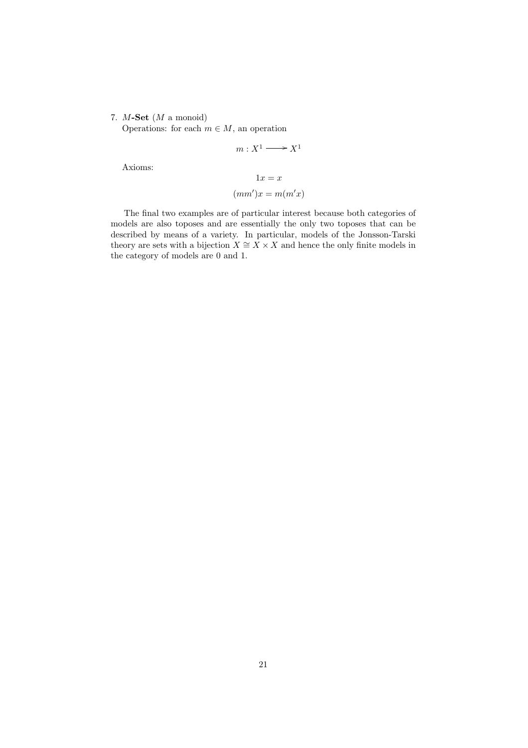#### 7.  $M$ -Set  $(M \text{ a monoid})$

Operations: for each  $m \in M$ , an operation

$$
m: X^1 \longrightarrow X^1
$$

Axioms:

$$
1x = x
$$

$$
(mm')x = m(m'x)
$$

The final two examples are of particular interest because both categories of models are also toposes and are essentially the only two toposes that can be described by means of a variety. In particular, models of the Jonsson-Tarski theory are sets with a bijection  $X \cong X \times X$  and hence the only finite models in the category of models are 0 and 1.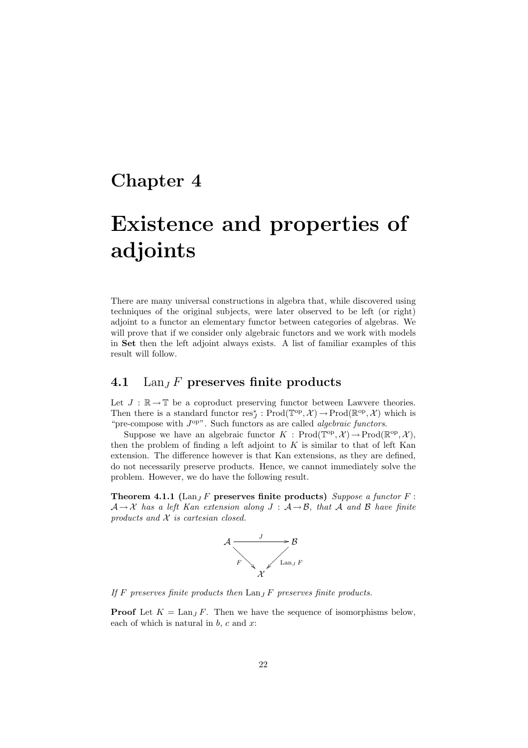# Chapter 4

# Existence and properties of adjoints

There are many universal constructions in algebra that, while discovered using techniques of the original subjects, were later observed to be left (or right) adjoint to a functor an elementary functor between categories of algebras. We will prove that if we consider only algebraic functors and we work with models in Set then the left adjoint always exists. A list of familiar examples of this result will follow.

### 4.1 Lan<sub>J</sub> F preserves finite products

Let  $J : \mathbb{R} \to \mathbb{T}$  be a coproduct preserving functor between Lawvere theories. Then there is a standard functor  $res_J^* : \text{Prod}(\mathbb{T}^{op}, \mathcal{X}) \to \text{Prod}(\mathbb{R}^{op}, \mathcal{X})$  which is "pre-compose with  $J^{\text{op}}$ ". Such functors as are called *algebraic functors*.

Suppose we have an algebraic functor  $K : \text{Prod}(\mathbb{T}^{\text{op}}, \mathcal{X}) \to \text{Prod}(\mathbb{R}^{\text{op}}, \mathcal{X}),$ then the problem of finding a left adjoint to  $K$  is similar to that of left Kan extension. The difference however is that Kan extensions, as they are defined, do not necessarily preserve products. Hence, we cannot immediately solve the problem. However, we do have the following result.

Theorem 4.1.1 (Lan<sub>J</sub> F preserves finite products) Suppose a functor  $F$ :  $A \rightarrow X$  has a left Kan extension along  $J : A \rightarrow B$ , that A and B have finite products and  $X$  is cartesian closed.



If F preserves finite products then  $\text{Lan}_I F$  preserves finite products.

**Proof** Let  $K = \text{Lan}_J F$ . Then we have the sequence of isomorphisms below, each of which is natural in  $b$ ,  $c$  and  $x$ :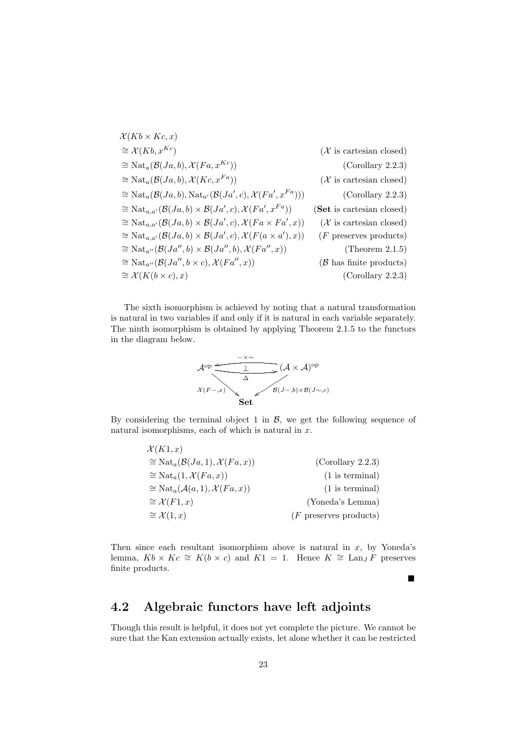$$
\mathcal{X}(Kb \times Kc, x)
$$
\n
$$
\cong \mathcal{X}(Kb, x^{Kc}) \qquad (\mathcal{X} \text{ is cartesian closed})
$$
\n
$$
\cong \text{Nat}_{a}(\mathcal{B}(Ja, b), \mathcal{X}(Fa, x^{Kc})) \qquad (\text{Corollary 2.2.3})
$$
\n
$$
\cong \text{Nat}_{a}(\mathcal{B}(Ja, b), \mathcal{X}(Kc, x^{Fa})) \qquad (\mathcal{X} \text{ is cartesian closed})
$$
\n
$$
\cong \text{Nat}_{a}(\mathcal{B}(Ja, b), \text{Nat}_{a'}(\mathcal{B}(Ja', c), \mathcal{X}(Fa', x^{Fa}))) \qquad (\text{Corollary 2.2.3})
$$
\n
$$
\cong \text{Nat}_{a,a'}(\mathcal{B}(Ja, b) \times \mathcal{B}(Ja', c), \mathcal{X}(Fa', x^{Fa})) \qquad (\text{Set is cartesian closed})
$$
\n
$$
\cong \text{Nat}_{a,a'}(\mathcal{B}(Ja, b) \times \mathcal{B}(Ja', c), \mathcal{X}(Fa \times Fa', x)) \qquad (\mathcal{X} \text{ is cartesian closed})
$$
\n
$$
\cong \text{Nat}_{a,a'}(\mathcal{B}(Ja, b) \times \mathcal{B}(Ja', c), \mathcal{X}(Fa \times Fa', x)) \qquad (F \text{ preserves products})
$$
\n
$$
\cong \text{Nat}_{a''}(\mathcal{B}(Ja'', b) \times \mathcal{B}(Ja'', b), \mathcal{X}(Fa'', x)) \qquad (\text{Theorem 2.1.5})
$$
\n
$$
\cong \text{Nat}_{a''}(\mathcal{B}(Ja'', b \times c), \mathcal{X}(Fa'', x)) \qquad (\mathcal{B} \text{ has finite products})
$$
\n
$$
\cong \mathcal{X}(K(b \times c), x) \qquad (\text{Corollary 2.2.3})
$$

The sixth isomorphism is achieved by noting that a natural transformation is natural in two variables if and only if it is natural in each variable separately. The ninth isomorphism is obtained by applying Theorem 2.1.5 to the functors in the diagram below.



By considering the terminal object 1 in  $\mathcal{B}$ , we get the following sequence of natural isomorphisms, each of which is natural in  $x$ .

| $\mathcal{X}(K1,x)$                                          |                          |
|--------------------------------------------------------------|--------------------------|
| $\cong \mathrm{Nat}_a(\mathcal{B}(Ja,1), \mathcal{X}(Fa,x))$ | (Corollary 2.2.3)        |
| $\cong \mathrm{Nat}_a(1, \mathcal{X}(Fa, x))$                | $(1$ is terminal)        |
| $\cong \mathrm{Nat}_a(\mathcal{A}(a,1), \mathcal{X}(Fa,x))$  | $(1$ is terminal)        |
| $\cong \mathcal{X}(F1,x)$                                    | (Yoneda's Lemma)         |
| $\cong \mathcal{X}(1,x)$                                     | $(F$ preserves products) |

Then since each resultant isomorphism above is natural in  $x$ , by Yoneda's lemma,  $Kb \times Kc \cong K(b \times c)$  and  $K1 = 1$ . Hence  $K \cong \text{Lan}_J F$  preserves finite products.

 $\blacksquare$ 

## 4.2 Algebraic functors have left adjoints

Though this result is helpful, it does not yet complete the picture. We cannot be sure that the Kan extension actually exists, let alone whether it can be restricted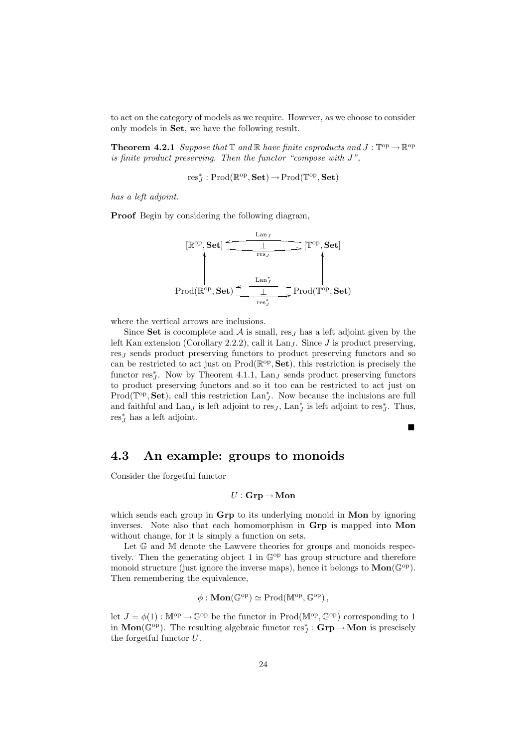to act on the category of models as we require. However, as we choose to consider only models in Set, we have the following result.

**Theorem 4.2.1** Suppose that  $\mathbb{T}$  and  $\mathbb{R}$  have finite coproducts and  $J : \mathbb{T}^{\text{op}} \to \mathbb{R}^{\text{op}}$ is finite product preserving. Then the functor "compose with J",

$$
\textnormal{res}^*_J : \textnormal{Prod}(\mathbb{R}^\textnormal{op}, \mathbf{Set}) \,{\rightarrow}\, \textnormal{Prod}(\mathbb{T}^\textnormal{op}, \mathbf{Set})
$$

has a left adjoint.

Proof Begin by considering the following diagram,



where the vertical arrows are inclusions.

Since Set is cocomplete and  $A$  is small, res<sub>J</sub> has a left adjoint given by the left Kan extension (Corollary 2.2.2), call it Lan<sub>J</sub>. Since J is product preserving,  $res<sub>J</sub>$  sends product preserving functors to product preserving functors and so can be restricted to act just on  $\text{Prod}(\mathbb{R}^{\text{op}}, \textbf{Set})$ , this restriction is precisely the functor  $res_J^*$ . Now by Theorem 4.1.1, Lan<sub>J</sub> sends product preserving functors to product preserving functors and so it too can be restricted to act just on Prod( $\mathbb{T}^{op}$ , Set), call this restriction  $\text{Lan}_{J}^{*}$ . Now because the inclusions are full and faithful and  $\text{Lan}_J$  is left adjoint to res<sub>J</sub>,  $\text{Lan}_J^*$  is left adjoint to res<sub>J</sub>. Thus,  $res_J^*$  has a left adjoint.

 $\blacksquare$ 

## 4.3 An example: groups to monoids

Consider the forgetful functor

$$
U: \mathbf{Grp} \to \mathbf{Mon}
$$

which sends each group in Grp to its underlying monoid in Mon by ignoring inverses. Note also that each homomorphism in Grp is mapped into Mon without change, for it is simply a function on sets.

Let  $\mathbb G$  and  $\mathbb M$  denote the Lawvere theories for groups and monoids respectively. Then the generating object 1 in  $\mathbb{G}^{\text{op}}$  has group structure and therefore monoid structure (just ignore the inverse maps), hence it belongs to  $\text{Mon}(\mathbb{G}^{\text{op}})$ . Then remembering the equivalence,

$$
\phi: \mathbf{Mon}(\mathbb{G}^{\mathrm{op}}) \simeq \mathrm{Prod}(\mathbb{M}^{\mathrm{op}}, \mathbb{G}^{\mathrm{op}}),
$$

let  $J = \phi(1)$ :  $\mathbb{M}^{\text{op}} \to \mathbb{G}^{\text{op}}$  be the functor in Prod( $\mathbb{M}^{\text{op}}, \mathbb{G}^{\text{op}}$ ) corresponding to 1 in  $\text{Mon}(\mathbb{G}^{op})$ . The resulting algebraic functor  $res_J^* : \textbf{Grp} \to \textbf{Mon}$  is prescisely the forgetful functor  $U$ .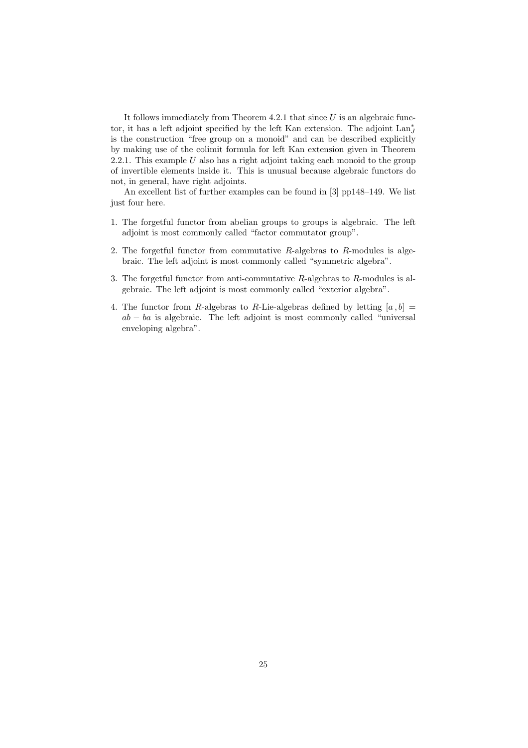It follows immediately from Theorem 4.2.1 that since  $U$  is an algebraic functor, it has a left adjoint specified by the left Kan extension. The adjoint  $\text{Lan}^*_J$ is the construction "free group on a monoid" and can be described explicitly by making use of the colimit formula for left Kan extension given in Theorem 2.2.1. This example  $U$  also has a right adjoint taking each monoid to the group of invertible elements inside it. This is unusual because algebraic functors do not, in general, have right adjoints.

An excellent list of further examples can be found in [3] pp148–149. We list just four here.

- 1. The forgetful functor from abelian groups to groups is algebraic. The left adjoint is most commonly called "factor commutator group".
- 2. The forgetful functor from commutative  $R$ -algebras to  $R$ -modules is algebraic. The left adjoint is most commonly called "symmetric algebra".
- 3. The forgetful functor from anti-commutative R-algebras to R-modules is algebraic. The left adjoint is most commonly called "exterior algebra".
- 4. The functor from R-algebras to R-Lie-algebras defined by letting  $[a, b] =$  $ab - ba$  is algebraic. The left adjoint is most commonly called "universal enveloping algebra".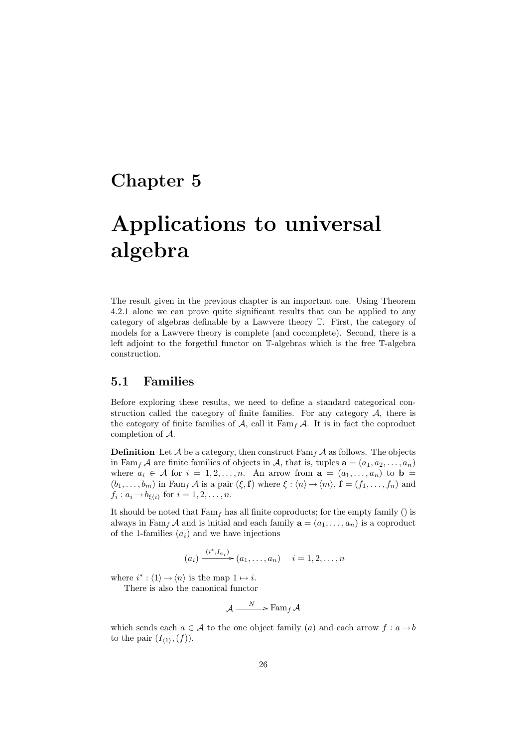# Chapter 5

# Applications to universal algebra

The result given in the previous chapter is an important one. Using Theorem 4.2.1 alone we can prove quite significant results that can be applied to any category of algebras definable by a Lawvere theory T. First, the category of models for a Lawvere theory is complete (and cocomplete). Second, there is a left adjoint to the forgetful functor on T-algebras which is the free T-algebra construction.

### 5.1 Families

Before exploring these results, we need to define a standard categorical construction called the category of finite families. For any category  $A$ , there is the category of finite families of A, call it  $\text{Fam}_f \mathcal{A}$ . It is in fact the coproduct completion of A.

**Definition** Let A be a category, then construct  $\text{Fam}_f$  A as follows. The objects in Fam<sub>f</sub> A are finite families of objects in A, that is, tuples  $\mathbf{a} = (a_1, a_2, \dots, a_n)$ where  $a_i \in \mathcal{A}$  for  $i = 1, 2, ..., n$ . An arrow from  $\mathbf{a} = (a_1, ..., a_n)$  to  $\mathbf{b} =$  $(b_1, \ldots, b_m)$  in Fam<sub>f</sub> A is a pair  $(\xi, \mathbf{f})$  where  $\xi : \langle n \rangle \rightarrow \langle m \rangle$ ,  $\mathbf{f} = (f_1, \ldots, f_n)$  and  $f_i: a_i \rightarrow b_{\xi(i)}$  for  $i = 1, 2, \ldots, n$ .

It should be noted that  $Fam_f$  has all finite coproducts; for the empty family () is always in Fam<sub>f</sub> A and is initial and each family  $\mathbf{a} = (a_1, \ldots, a_n)$  is a coproduct of the 1-families  $(a_i)$  and we have injections

$$
(a_i) \xrightarrow{(i^*, I_{a_i})} (a_1, \ldots, a_n) \quad i = 1, 2, \ldots, n
$$

where  $i^*$  :  $\langle 1 \rangle \rightarrow \langle n \rangle$  is the map  $1 \mapsto i$ .

There is also the canonical functor

$$
\mathcal{A} \xrightarrow{N} \text{Fam}_f \mathcal{A}
$$

which sends each  $a \in \mathcal{A}$  to the one object family (a) and each arrow  $f : a \rightarrow b$ to the pair  $(I_{\langle 1 \rangle}, (f)).$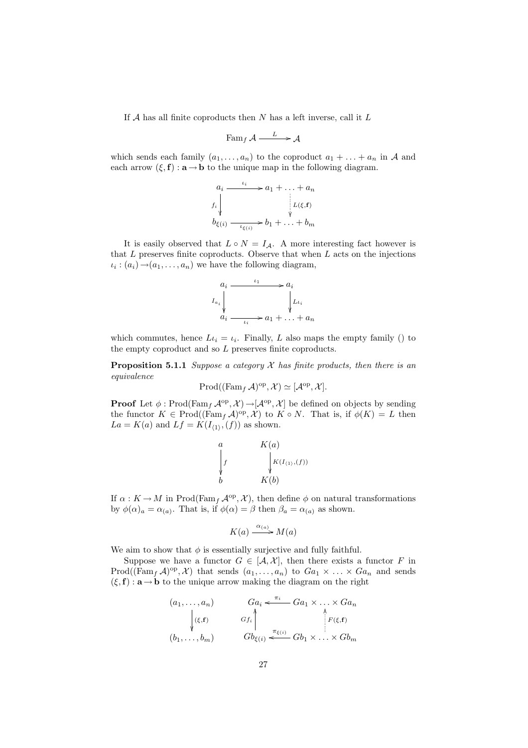If  $A$  has all finite coproducts then  $N$  has a left inverse, call it  $L$ 

$$
\operatorname{Fam}_f \mathcal{A} \xrightarrow{L} \mathcal{A}
$$

which sends each family  $(a_1, \ldots, a_n)$  to the coproduct  $a_1 + \ldots + a_n$  in A and each arrow  $(\xi, f) : \mathbf{a} \to \mathbf{b}$  to the unique map in the following diagram.

$$
a_i \xrightarrow{\iota_i} a_1 + \dots + a_n
$$
  
\n
$$
b_{\xi(i)} \xrightarrow{\forall} b_1 + \dots + b_m
$$

It is easily observed that  $L \circ N = I_{\mathcal{A}}$ . A more interesting fact however is that  $L$  preserves finite coproducts. Observe that when  $L$  acts on the injections  $\iota_i : (a_i) \rightarrow (a_1, \ldots, a_n)$  we have the following diagram,

$$
a_i \xrightarrow{\iota_1} a_i
$$
\n
$$
I_{a_i} \downarrow \qquad \qquad \downarrow L_{\iota_i}
$$
\n
$$
a_i \xrightarrow{\iota_i} a_1 + \ldots + a_n
$$

which commutes, hence  $L_i = i_i$ . Finally, L also maps the empty family () to the empty coproduct and so L preserves finite coproducts.

**Proposition 5.1.1** Suppose a category  $\mathcal X$  has finite products, then there is an equivalence

$$
\mathrm{Prod}((\mathrm{Fam}_f \mathcal{A})^{\mathrm{op}}, \mathcal{X}) \simeq [\mathcal{A}^{\mathrm{op}}, \mathcal{X}].
$$

**Proof** Let  $\phi$ : Prod(Fam<sub>f</sub>  $\mathcal{A}^{op}, \mathcal{X}$ )  $\rightarrow$  [ $\mathcal{A}^{op}, \mathcal{X}$ ] be defined on objects by sending the functor  $K \in \text{Prod}((\text{Fam}_f \mathcal{A})^{\text{op}}, \mathcal{X})$  to  $K \circ N$ . That is, if  $\phi(K) = L$  then  $La = K(a)$  and  $Lf = K(I_{\langle 1 \rangle}, (f))$  as shown.

$$
\begin{array}{ccc}\na & & K(a) \\
\downarrow f & & \downarrow K(I_{(1)},(f)) \\
b & & K(b)\n\end{array}
$$

If  $\alpha: K \to M$  in Prod(Fam<sub>f</sub>  $\mathcal{A}^{\text{op}}, \mathcal{X}$ ), then define  $\phi$  on natural transformations by  $\phi(\alpha)_a = \alpha_{(a)}$ . That is, if  $\phi(\alpha) = \beta$  then  $\beta_a = \alpha_{(a)}$  as shown.

$$
K(a) \xrightarrow{\alpha_{(a)}} M(a)
$$

We aim to show that  $\phi$  is essentially surjective and fully faithful.

Suppose we have a functor  $G \in [A, X]$ , then there exists a functor F in  $\text{Prod}((\text{Fam}_f \mathcal{A})^{\text{op}}, \mathcal{X})$  that sends  $(a_1, \ldots, a_n)$  to  $Ga_1 \times \ldots \times Ga_n$  and sends  $(\xi, f) : \mathbf{a} \to \mathbf{b}$  to the unique arrow making the diagram on the right

$$
(a_1, \ldots, a_n) \t Ga_i \xleftarrow{\pi_i} Ga_1 \times \ldots \times Ga_n
$$
  
\n
$$
\downarrow (\xi, f) \t Gf_i \uparrow \qquad \qquad \downarrow \qquad \downarrow F(\xi, f)
$$
  
\n
$$
(b_1, \ldots, b_m) \t Gb_{\xi(i)} \xleftarrow{\pi_{\xi(i)}} Gb_1 \times \ldots \times Gb_m
$$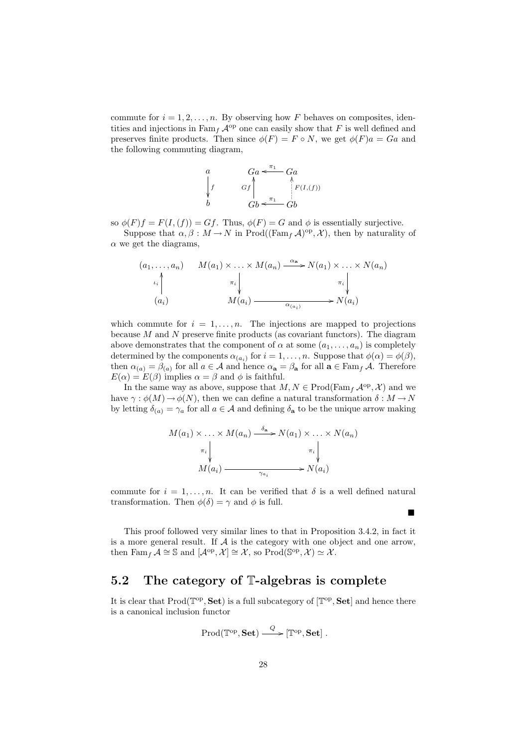commute for  $i = 1, 2, \ldots, n$ . By observing how F behaves on composites, identities and injections in  $\text{Fam}_f \mathcal{A}^{\text{op}}$  one can easily show that F is well defined and preserves finite products. Then since  $\phi(F) = F \circ N$ , we get  $\phi(F)a = Ga$  and the following commuting diagram,

$$
\begin{array}{ccc}\n a & Ga \leftarrow^{\pi_1} Ga \\
 f & Gf \Big| & f^{(I,f)} \\
 b & Gb \leftarrow^{\pi_1} Gb\n\end{array}
$$

so  $\phi(F)f = F(I,(f)) = Gf$ . Thus,  $\phi(F) = G$  and  $\phi$  is essentially surjective.

Suppose that  $\alpha, \beta : M \to N$  in Prod((Fam<sub>f</sub>  $\mathcal{A}$ )<sup>op</sup>,  $\mathcal{X}$ ), then by naturality of  $\alpha$  we get the diagrams,

(a1, . . . , an) (ai) ιi OO M(a1) × . . . × M(an) πi <sup>α</sup><sup>a</sup> /N(a1) <sup>×</sup> . . . <sup>×</sup> <sup>N</sup>(an) πi <sup>M</sup>(ai) <sup>α</sup>(ai ) /N(ai)

which commute for  $i = 1, \ldots, n$ . The injections are mapped to projections because  $M$  and  $N$  preserve finite products (as covariant functors). The diagram above demonstrates that the component of  $\alpha$  at some  $(a_1, \ldots, a_n)$  is completely determined by the components  $\alpha_{(a_i)}$  for  $i = 1, ..., n$ . Suppose that  $\phi(\alpha) = \phi(\beta)$ , then  $\alpha_{(a)} = \beta_{(a)}$  for all  $a \in \mathcal{A}$  and hence  $\alpha_a = \beta_a$  for all  $a \in \text{Fam}_f \mathcal{A}$ . Therefore  $E(\alpha) = E(\beta)$  implies  $\alpha = \beta$  and  $\phi$  is faithful.

In the same way as above, suppose that  $M, N \in \text{Prod}(\text{Fam}_f \mathcal{A}^{\text{op}}, \mathcal{X})$  and we have  $\gamma : \phi(M) \to \phi(N)$ , then we can define a natural transformation  $\delta : M \to N$ by letting  $\delta_{(a)} = \gamma_a$  for all  $a \in \mathcal{A}$  and defining  $\delta_a$  to be the unique arrow making

$$
M(a_1) \times \ldots \times M(a_n) \xrightarrow{\delta_a} N(a_1) \times \ldots \times N(a_n)
$$
  
\n
$$
\pi_i \downarrow \qquad \qquad \pi_i \downarrow
$$
  
\n
$$
M(a_i) \xrightarrow{\gamma_{a_i}} N(a_i)
$$

commute for  $i = 1, \ldots, n$ . It can be verified that  $\delta$  is a well defined natural transformation. Then  $\phi(\delta) = \gamma$  and  $\phi$  is full.

п

This proof followed very similar lines to that in Proposition 3.4.2, in fact it is a more general result. If  $A$  is the category with one object and one arrow, then  $\text{Fam}_f^{\mathcal{A}} \cong \mathbb{S}$  and  $[\mathcal{A}^{\text{op}}, \mathcal{X}] \cong \mathcal{X}$ , so  $\text{Prod}(\mathbb{S}^{\text{op}}, \mathcal{X}) \simeq \mathcal{X}$ .

## 5.2 The category of T-algebras is complete

It is clear that  $\text{Prod}(\mathbb{T}^{\text{op}}, \mathbf{Set})$  is a full subcategory of  $[\mathbb{T}^{\text{op}}, \mathbf{Set}]$  and hence there is a canonical inclusion functor

$$
\mathrm{Prod}(\mathbb{T}^{\mathrm{op}},{\mathbf{Set}}) \stackrel{Q}{\longrightarrow} [\mathbb{T}^{\mathrm{op}},{\mathbf{Set}}] \; .
$$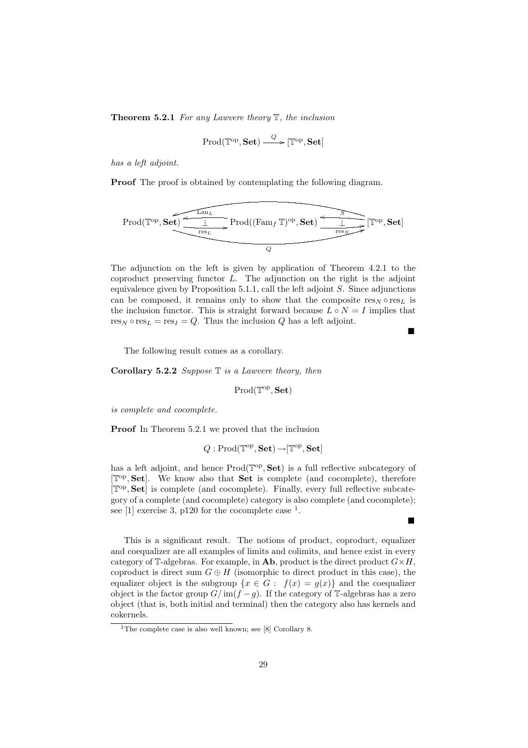**Theorem 5.2.1** For any Lawvere theory  $\mathbb{T}$ , the inclusion

$$
\mathrm{Prod}(\mathbb{T}^{\mathrm{op}},{\mathbf{Set}})\stackrel{Q}{\longrightarrow} [\mathbb{T}^{\mathrm{op}},{\mathbf{Set}}]
$$

has a left adjoint.

Proof The proof is obtained by contemplating the following diagram.

$$
\mathrm{Prod}(\mathbb{T}^{\mathrm{op}}, \mathbf{Set}) \xrightarrow{\textcolor{red}{\underbrace{\mathbb{L}\mathrm{an}_{L}}}_{\mathrm{res}_{L}}} \mathrm{Prod}((\mathrm{Fam}_{f} \, \mathbb{T})^{\mathrm{op}}, \mathbf{Set}) \xrightarrow{\textcolor{red}{\underbrace{\mathbb{L}}}_{\mathrm{res}_{N}}} [\mathbb{T}^{\mathrm{op}}, \mathbf{Set}]
$$

The adjunction on the left is given by application of Theorem 4.2.1 to the coproduct preserving functor  $L$ . The adjunction on the right is the adjoint equivalence given by Proposition 5.1.1, call the left adjoint  $S$ . Since adjunctions can be composed, it remains only to show that the composite  $res_N \circ res_L$  is the inclusion functor. This is straight forward because  $L \circ N = I$  implies that  $res_N \circ res_L = res_I = Q$ . Thus the inclusion Q has a left adjoint.

 $\blacksquare$ 

П

The following result comes as a corollary.

**Corollary 5.2.2** Suppose  $\mathbb T$  is a Lawvere theory, then

 $\text{Prod}(\mathbb{T}^{\text{op}}, \mathbf{Set})$ 

is complete and cocomplete.

Proof In Theorem 5.2.1 we proved that the inclusion

$$
Q: \mathrm{Prod}({\mathbb T}^{\mathrm{op}},{\mathbf{Set}}) \,{\to} [{\mathbb T}^{\mathrm{op}},{\mathbf{Set}}]
$$

has a left adjoint, and hence  $\text{Prod}(\mathbb{T}^{op}, \mathbf{Set})$  is a full reflective subcategory of [ $\mathbb{T}^{\text{op}}, \mathbf{Set}$ ]. We know also that **Set** is complete (and cocomplete), therefore [ $\mathbb{T}^{\text{op}}, \mathbf{Set}$ ] is complete (and cocomplete). Finally, every full reflective subcategory of a complete (and cocomplete) category is also complete (and cocomplete); see [1] exercise 3, p120 for the cocomplete case  $<sup>1</sup>$ .</sup>

This is a significant result. The notions of product, coproduct, equalizer and coequalizer are all examples of limits and colimits, and hence exist in every category of T-algebras. For example, in Ab, product is the direct product  $G \times H$ , coproduct is direct sum  $G \oplus H$  (isomorphic to direct product in this case), the equalizer object is the subgroup  $\{x \in G : f(x) = g(x)\}\$  and the coequalizer object is the factor group  $G/\text{im}(f-g)$ . If the category of T-algebras has a zero object (that is, both initial and terminal) then the category also has kernels and cokernels.

<sup>&</sup>lt;sup>1</sup>The complete case is also well known; see [8] Corollary 8.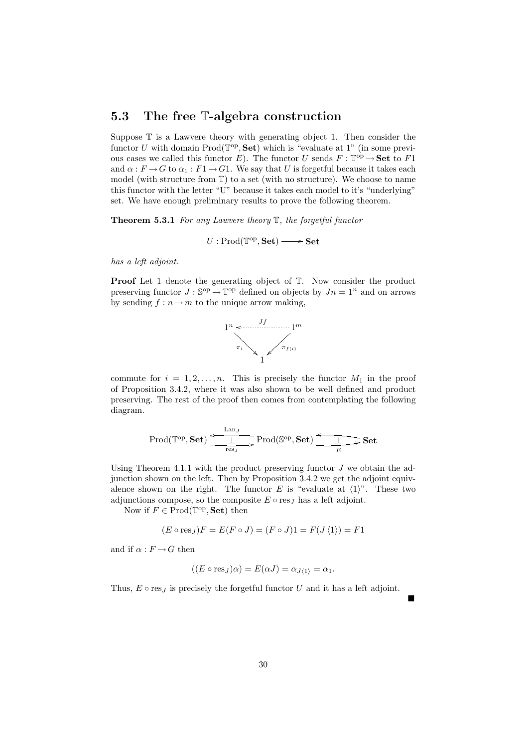## 5.3 The free T-algebra construction

Suppose  $\mathbb T$  is a Lawvere theory with generating object 1. Then consider the functor U with domain  $\text{Prod}(\mathbb{T}^{op}, \mathbf{Set})$  which is "evaluate at 1" (in some previous cases we called this functor E). The functor U sends  $F : \mathbb{T}^{\text{op}} \to \mathbf{Set}$  to F1 and  $\alpha : F \to G$  to  $\alpha_1 : F1 \to G1$ . We say that U is forgetful because it takes each model (with structure from  $\mathbb{T}$ ) to a set (with no structure). We choose to name this functor with the letter "U" because it takes each model to it's "underlying" set. We have enough preliminary results to prove the following theorem.

**Theorem 5.3.1** For any Lawvere theory  $\mathbb{T}$ , the forgetful functor

 $U: \text{Prod}(\mathbb{T}^{op}, \textbf{Set}) \longrightarrow \textbf{Set}$ 

has a left adjoint.

**Proof** Let 1 denote the generating object of  $\mathbb{T}$ . Now consider the product preserving functor  $J : \mathbb{S}^{op} \to \mathbb{T}^{op}$  defined on objects by  $Jn = 1^n$  and on arrows by sending  $f : n \to m$  to the unique arrow making,



commute for  $i = 1, 2, ..., n$ . This is precisely the functor  $M_1$  in the proof of Proposition 3.4.2, where it was also shown to be well defined and product preserving. The rest of the proof then comes from contemplating the following diagram.

$$
\mathrm{Prod}(\mathbb{T}^{\mathrm{op}}, \mathbf{Set}) \xrightarrow{\mathbf{Lan}_J} \mathrm{Prod}(\mathbb{S}^{\mathrm{op}}, \mathbf{Set}) \xrightarrow{\mathbf{L}} \mathbf{Set}
$$

Using Theorem 4.1.1 with the product preserving functor  $J$  we obtain the adjunction shown on the left. Then by Proposition 3.4.2 we get the adjoint equivalence shown on the right. The functor E is "evaluate at  $\langle 1 \rangle$ ". These two adjunctions compose, so the composite  $E \circ \text{res}_I$  has a left adjoint.

Now if  $F \in \text{Prod}(\mathbb{T}^{\text{op}}, \mathbf{Set})$  then

$$
(E \circ \text{res}_J)F = E(F \circ J) = (F \circ J)1 = F(J \langle 1 \rangle) = F1
$$

and if  $\alpha : F \to G$  then

$$
((E \circ \text{res}_J)\alpha) = E(\alpha J) = \alpha_{J\langle 1 \rangle} = \alpha_1.
$$

 $\blacksquare$ 

Thus,  $E \circ \text{res}_J$  is precisely the forgetful functor U and it has a left adjoint.